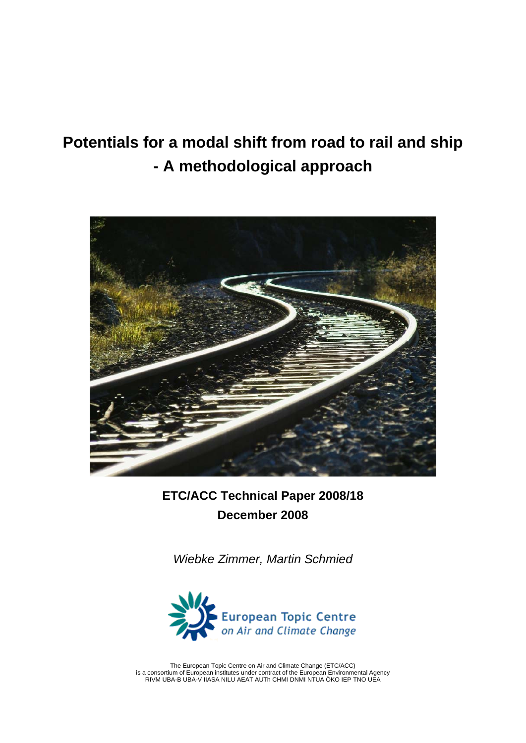# **Potentials for a modal shift from road to rail and ship - A methodological approach**



**ETC/ACC Technical Paper 2008/18 December 2008** 

*Wiebke Zimmer, Martin Schmied* 



The European Topic Centre on Air and Climate Change (ETC/ACC) is a consortium of European institutes under contract of the European Environmental Agency RIVM UBA-B UBA-V IIASA NILU AEAT AUTh CHMI DNMI NTUA ÖKO IEP TNO UEA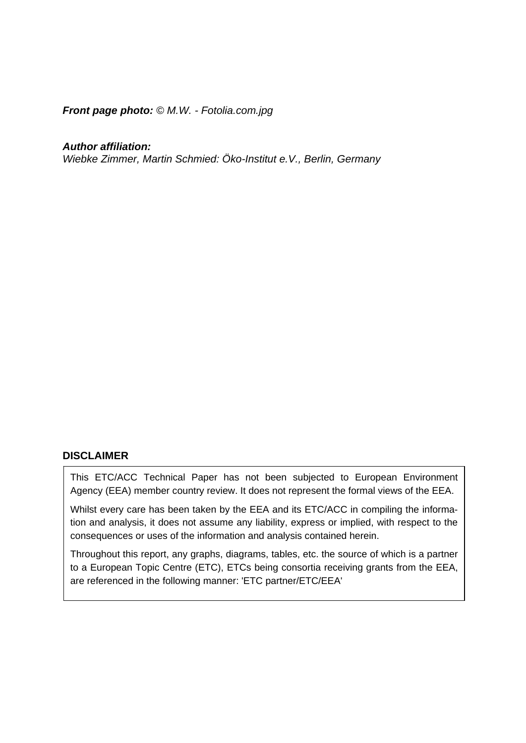*Front page photo: © M.W. - Fotolia.com.jpg* 

*Author affiliation:* 

*Wiebke Zimmer, Martin Schmied: Öko-Institut e.V., Berlin, Germany* 

#### **DISCLAIMER**

This ETC/ACC Technical Paper has not been subjected to European Environment Agency (EEA) member country review. It does not represent the formal views of the EEA.

Whilst every care has been taken by the EEA and its ETC/ACC in compiling the information and analysis, it does not assume any liability, express or implied, with respect to the consequences or uses of the information and analysis contained herein.

Throughout this report, any graphs, diagrams, tables, etc. the source of which is a partner to a European Topic Centre (ETC), ETCs being consortia receiving grants from the EEA, are referenced in the following manner: 'ETC partner/ETC/EEA'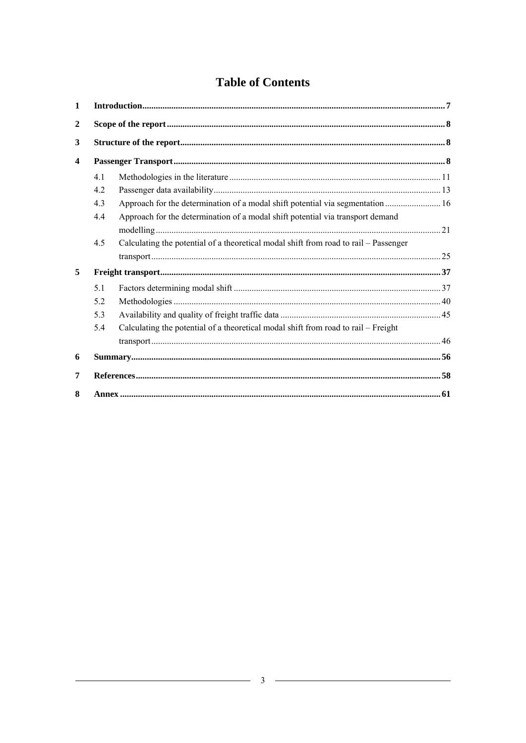### **Table of Contents**

| 1                       |     |                                                                                      |  |  |  |
|-------------------------|-----|--------------------------------------------------------------------------------------|--|--|--|
| $\mathbf{2}$            |     |                                                                                      |  |  |  |
| 3                       |     |                                                                                      |  |  |  |
| $\overline{\mathbf{4}}$ |     |                                                                                      |  |  |  |
|                         | 4.1 |                                                                                      |  |  |  |
|                         | 4.2 |                                                                                      |  |  |  |
|                         | 4.3 | Approach for the determination of a modal shift potential via segmentation  16       |  |  |  |
|                         | 4.4 | Approach for the determination of a modal shift potential via transport demand       |  |  |  |
|                         | 4.5 | Calculating the potential of a theoretical modal shift from road to rail – Passenger |  |  |  |
|                         |     |                                                                                      |  |  |  |
| 5                       |     |                                                                                      |  |  |  |
|                         | 5 1 |                                                                                      |  |  |  |
|                         | 5.2 |                                                                                      |  |  |  |
|                         | 5.3 |                                                                                      |  |  |  |
|                         | 5.4 | Calculating the potential of a theoretical modal shift from road to rail – Freight   |  |  |  |
|                         |     |                                                                                      |  |  |  |
| 6                       |     |                                                                                      |  |  |  |
| 7                       |     |                                                                                      |  |  |  |
| 8                       |     |                                                                                      |  |  |  |

 $\overline{\phantom{0}}$ 

 $\overline{a}$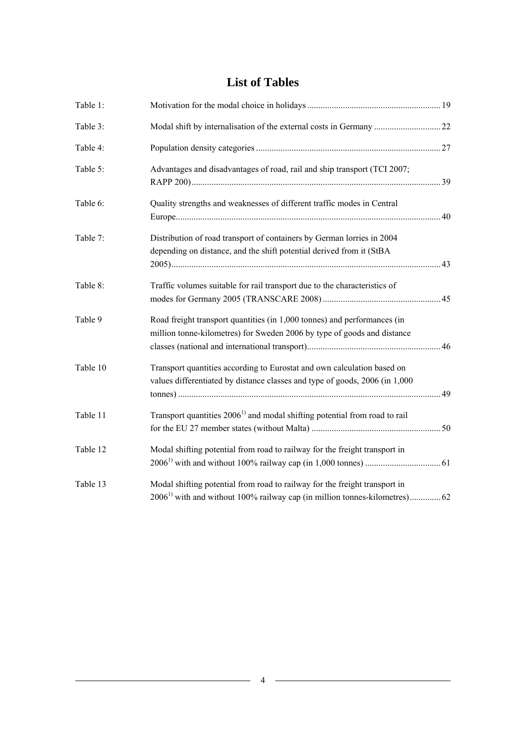### **List of Tables**

| Table 1: |                                                                                                                                                         |  |
|----------|---------------------------------------------------------------------------------------------------------------------------------------------------------|--|
| Table 3: |                                                                                                                                                         |  |
| Table 4: |                                                                                                                                                         |  |
| Table 5: | Advantages and disadvantages of road, rail and ship transport (TCI 2007;                                                                                |  |
| Table 6: | Quality strengths and weaknesses of different traffic modes in Central                                                                                  |  |
| Table 7: | Distribution of road transport of containers by German lorries in 2004<br>depending on distance, and the shift potential derived from it (StBA          |  |
|          |                                                                                                                                                         |  |
| Table 8: | Traffic volumes suitable for rail transport due to the characteristics of                                                                               |  |
| Table 9  | Road freight transport quantities (in 1,000 tonnes) and performances (in<br>million tonne-kilometres) for Sweden 2006 by type of goods and distance     |  |
| Table 10 | Transport quantities according to Eurostat and own calculation based on<br>values differentiated by distance classes and type of goods, 2006 (in 1,000) |  |
| Table 11 | Transport quantities 2006 <sup>1</sup> and modal shifting potential from road to rail                                                                   |  |
| Table 12 | Modal shifting potential from road to railway for the freight transport in                                                                              |  |
| Table 13 | Modal shifting potential from road to railway for the freight transport in                                                                              |  |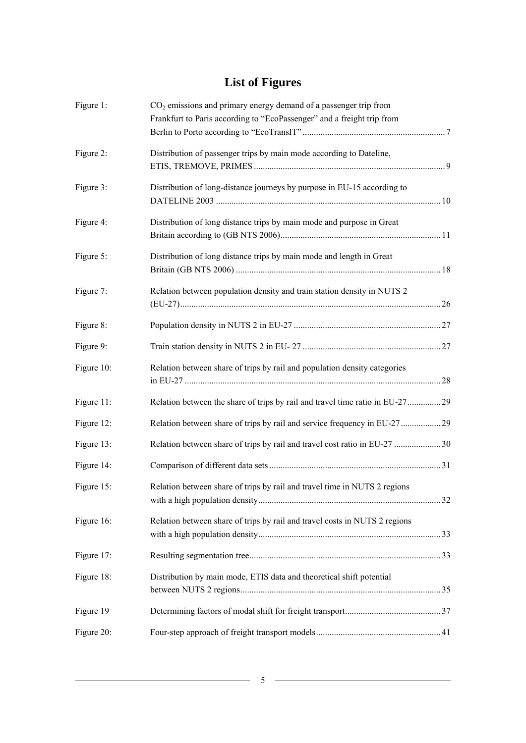# **List of Figures**

| Figure 1:  | $CO2$ emissions and primary energy demand of a passenger trip from<br>Frankfurt to Paris according to "EcoPassenger" and a freight trip from |  |
|------------|----------------------------------------------------------------------------------------------------------------------------------------------|--|
| Figure 2:  | Distribution of passenger trips by main mode according to Dateline,                                                                          |  |
| Figure 3:  | Distribution of long-distance journeys by purpose in EU-15 according to                                                                      |  |
| Figure 4:  | Distribution of long distance trips by main mode and purpose in Great                                                                        |  |
| Figure 5:  | Distribution of long distance trips by main mode and length in Great                                                                         |  |
| Figure 7:  | Relation between population density and train station density in NUTS 2                                                                      |  |
| Figure 8:  |                                                                                                                                              |  |
| Figure 9:  |                                                                                                                                              |  |
| Figure 10: | Relation between share of trips by rail and population density categories                                                                    |  |
| Figure 11: | Relation between the share of trips by rail and travel time ratio in EU-27 29                                                                |  |
| Figure 12: |                                                                                                                                              |  |
| Figure 13: | Relation between share of trips by rail and travel cost ratio in EU-27 30                                                                    |  |
| Figure 14: |                                                                                                                                              |  |
| Figure 15: | Relation between share of trips by rail and travel time in NUTS 2 regions                                                                    |  |
| Figure 16: | Relation between share of trips by rail and travel costs in NUTS 2 regions                                                                   |  |
| Figure 17: |                                                                                                                                              |  |
| Figure 18: | Distribution by main mode, ETIS data and theoretical shift potential                                                                         |  |
| Figure 19  |                                                                                                                                              |  |
| Figure 20: |                                                                                                                                              |  |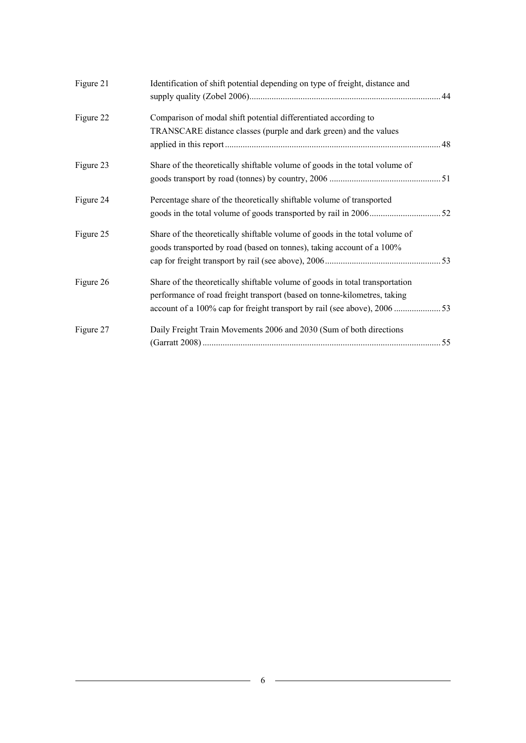| Figure 21 | Identification of shift potential depending on type of freight, distance and |  |
|-----------|------------------------------------------------------------------------------|--|
| Figure 22 | Comparison of modal shift potential differentiated according to              |  |
|           | TRANSCARE distance classes (purple and dark green) and the values            |  |
|           |                                                                              |  |
| Figure 23 | Share of the theoretically shiftable volume of goods in the total volume of  |  |
|           |                                                                              |  |
| Figure 24 | Percentage share of the theoretically shiftable volume of transported        |  |
|           |                                                                              |  |
| Figure 25 | Share of the theoretically shiftable volume of goods in the total volume of  |  |
|           | goods transported by road (based on tonnes), taking account of a 100%        |  |
|           |                                                                              |  |
| Figure 26 | Share of the theoretically shiftable volume of goods in total transportation |  |
|           | performance of road freight transport (based on tonne-kilometres, taking     |  |
|           | account of a 100% cap for freight transport by rail (see above), 2006 53     |  |
| Figure 27 | Daily Freight Train Movements 2006 and 2030 (Sum of both directions          |  |
|           |                                                                              |  |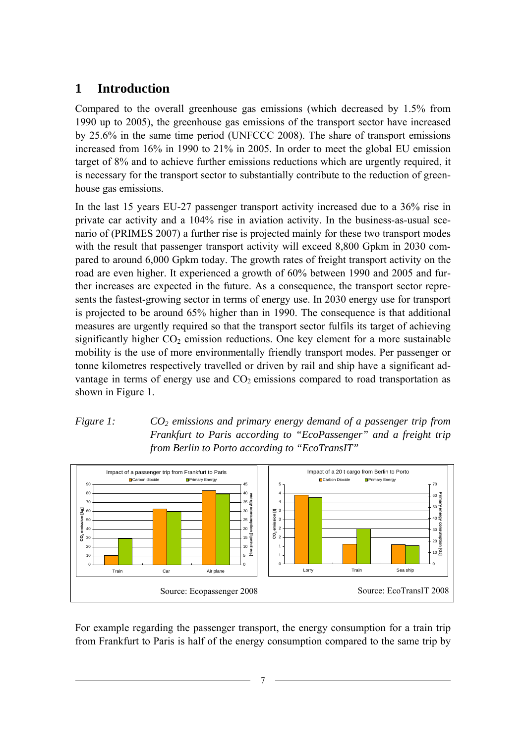## <span id="page-6-0"></span>**1 Introduction**

Compared to the overall greenhouse gas emissions (which decreased by 1.5% from 1990 up to 2005), the greenhouse gas emissions of the transport sector have increased by 25.6% in the same time period (UNFCCC 2008). The share of transport emissions increased from 16% in 1990 to 21% in 2005. In order to meet the global EU emission target of 8% and to achieve further emissions reductions which are urgently required, it is necessary for the transport sector to substantially contribute to the reduction of greenhouse gas emissions.

In the last 15 years EU-27 passenger transport activity increased due to a 36% rise in private car activity and a 104% rise in aviation activity. In the business-as-usual scenario of (PRIMES 2007) a further rise is projected mainly for these two transport modes with the result that passenger transport activity will exceed 8,800 Gpkm in 2030 compared to around 6,000 Gpkm today. The growth rates of freight transport activity on the road are even higher. It experienced a growth of 60% between 1990 and 2005 and further increases are expected in the future. As a consequence, the transport sector represents the fastest-growing sector in terms of energy use. In 2030 energy use for transport is projected to be around 65% higher than in 1990. The consequence is that additional measures are urgently required so that the transport sector fulfils its target of achieving significantly higher  $CO<sub>2</sub>$  emission reductions. One key element for a more sustainable mobility is the use of more environmentally friendly transport modes. Per passenger or tonne kilometres respectively travelled or driven by rail and ship have a significant advantage in terms of energy use and  $CO<sub>2</sub>$  emissions compared to road transportation as shown in [Figure 1](#page-6-0).

#### *Figure 1:* CO<sub>2</sub> emissions and primary energy demand of a passenger trip from *Frankfurt to Paris according to "EcoPassenger" and a freight trip from Berlin to Porto according to "EcoTransIT"*



For example regarding the passenger transport, the energy consumption for a train trip from Frankfurt to Paris is half of the energy consumption compared to the same trip by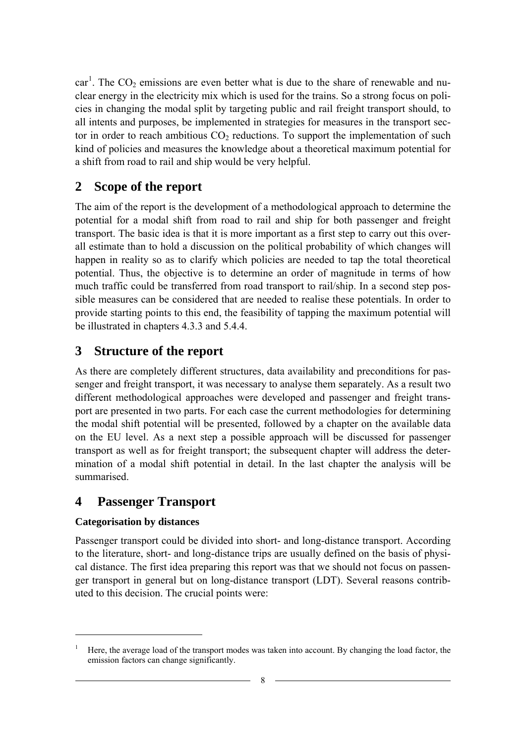<span id="page-7-0"></span>car<sup>[1](#page-7-0)</sup>. The  $CO_2$  emissions are even better what is due to the share of renewable and nuclear energy in the electricity mix which is used for the trains. So a strong focus on policies in changing the modal split by targeting public and rail freight transport should, to all intents and purposes, be implemented in strategies for measures in the transport sector in order to reach ambitious  $CO<sub>2</sub>$  reductions. To support the implementation of such kind of policies and measures the knowledge about a theoretical maximum potential for a shift from road to rail and ship would be very helpful.

### **2 Scope of the report**

The aim of the report is the development of a methodological approach to determine the potential for a modal shift from road to rail and ship for both passenger and freight transport. The basic idea is that it is more important as a first step to carry out this overall estimate than to hold a discussion on the political probability of which changes will happen in reality so as to clarify which policies are needed to tap the total theoretical potential. Thus, the objective is to determine an order of magnitude in terms of how much traffic could be transferred from road transport to rail/ship. In a second step possible measures can be considered that are needed to realise these potentials. In order to provide starting points to this end, the feasibility of tapping the maximum potential will be illustrated in chapters [4.3.3](#page-20-0) and [5.4.4](#page-53-0).

### **3 Structure of the report**

As there are completely different structures, data availability and preconditions for passenger and freight transport, it was necessary to analyse them separately. As a result two different methodological approaches were developed and passenger and freight transport are presented in two parts. For each case the current methodologies for determining the modal shift potential will be presented, followed by a chapter on the available data on the EU level. As a next step a possible approach will be discussed for passenger transport as well as for freight transport; the subsequent chapter will address the determination of a modal shift potential in detail. In the last chapter the analysis will be summarised.

### **4 Passenger Transport**

#### **Categorisation by distances**

1

Passenger transport could be divided into short- and long-distance transport. According to the literature, short- and long-distance trips are usually defined on the basis of physical distance. The first idea preparing this report was that we should not focus on passenger transport in general but on long-distance transport (LDT). Several reasons contributed to this decision. The crucial points were:

<sup>1</sup> Here, the average load of the transport modes was taken into account. By changing the load factor, the emission factors can change significantly.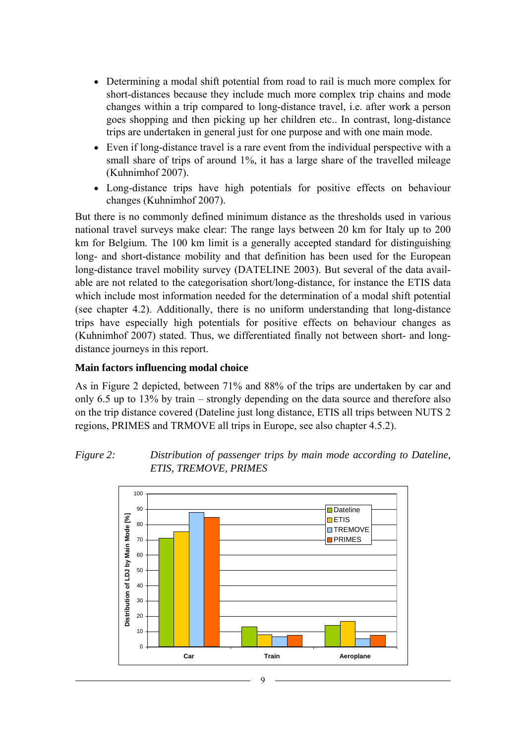- <span id="page-8-0"></span>• Determining a modal shift potential from road to rail is much more complex for short-distances because they include much more complex trip chains and mode changes within a trip compared to long-distance travel, i.e. after work a person goes shopping and then picking up her children etc.. In contrast, long-distance trips are undertaken in general just for one purpose and with one main mode.
- Even if long-distance travel is a rare event from the individual perspective with a small share of trips of around 1%, it has a large share of the travelled mileage (Kuhnimhof 2007).
- Long-distance trips have high potentials for positive effects on behaviour changes (Kuhnimhof 2007).

But there is no commonly defined minimum distance as the thresholds used in various national travel surveys make clear: The range lays between 20 km for Italy up to 200 km for Belgium. The 100 km limit is a generally accepted standard for distinguishing long- and short-distance mobility and that definition has been used for the European long-distance travel mobility survey (DATELINE 2003). But several of the data available are not related to the categorisation short/long-distance, for instance the ETIS data which include most information needed for the determination of a modal shift potential (see chapter [4.2](#page-12-0)). Additionally, there is no uniform understanding that long-distance trips have especially high potentials for positive effects on behaviour changes as (Kuhnimhof 2007) stated. Thus, we differentiated finally not between short- and longdistance journeys in this report.

#### **Main factors influencing modal choice**

As in [Figure 2](#page-8-0) depicted, between 71% and 88% of the trips are undertaken by car and only 6.5 up to 13% by train – strongly depending on the data source and therefore also on the trip distance covered (Dateline just long distance, ETIS all trips between NUTS 2 regions, PRIMES and TRMOVE all trips in Europe, see also chapter [4.5.2\)](#page-24-0).



*Figure 2: Distribution of passenger trips by main mode according to Dateline, ETIS, TREMOVE, PRIMES*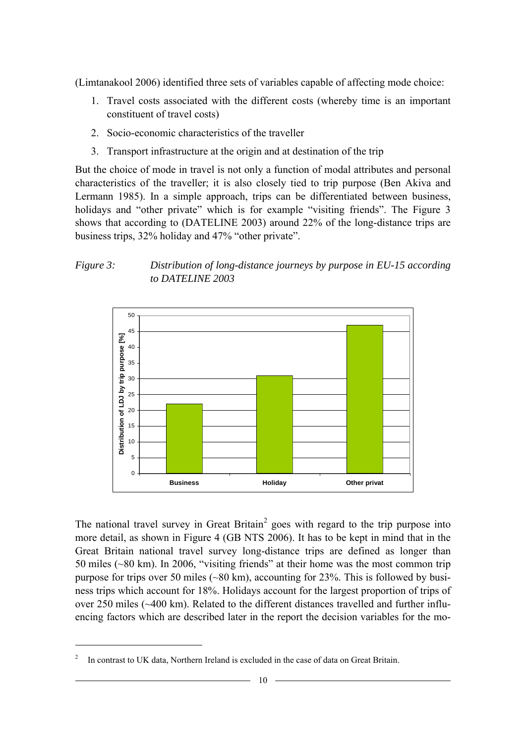<span id="page-9-0"></span>(Limtanakool 2006) identified three sets of variables capable of affecting mode choice:

- 1. Travel costs associated with the different costs (whereby time is an important constituent of travel costs)
- 2. Socio-economic characteristics of the traveller
- 3. Transport infrastructure at the origin and at destination of the trip

But the choice of mode in travel is not only a function of modal attributes and personal characteristics of the traveller; it is also closely tied to trip purpose (Ben Akiva and Lermann 1985). In a simple approach, trips can be differentiated between business, holidays and "other private" which is for example "visiting friends". The [Figure 3](#page-9-0) shows that according to (DATELINE 2003) around 22% of the long-distance trips are business trips, 32% holiday and 47% "other private".

#### *Figure 3: Distribution of long-distance journeys by purpose in EU-15 according to DATELINE 2003*



The national travel survey in Great Britain<sup>[2](#page-9-0)</sup> goes with regard to the trip purpose into more detail, as shown in [Figure 4](#page-10-0) (GB NTS 2006). It has to be kept in mind that in the Great Britain national travel survey long-distance trips are defined as longer than 50 miles (~80 km). In 2006, "visiting friends" at their home was the most common trip purpose for trips over 50 miles ( $\sim 80$  km), accounting for 23%. This is followed by business trips which account for 18%. Holidays account for the largest proportion of trips of over 250 miles (~400 km). Related to the different distances travelled and further influencing factors which are described later in the report the decision variables for the mo-

1

<sup>2</sup> In contrast to UK data, Northern Ireland is excluded in the case of data on Great Britain.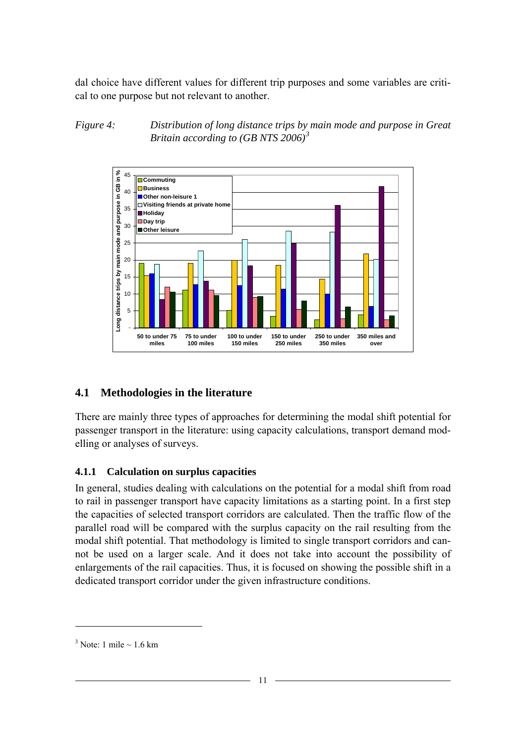<span id="page-10-0"></span>dal choice have different values for different trip purposes and some variables are critical to one purpose but not relevant to another.

#### *Figure 4: Distribution of long distance trips by main mode and purpose in Great Britain according to (GB NTS 2006)[3](#page-10-0)*



### **4.1 Methodologies in the literature**

There are mainly three types of approaches for determining the modal shift potential for passenger transport in the literature: using capacity calculations, transport demand modelling or analyses of surveys.

#### **4.1.1 Calculation on surplus capacities**

In general, studies dealing with calculations on the potential for a modal shift from road to rail in passenger transport have capacity limitations as a starting point. In a first step the capacities of selected transport corridors are calculated. Then the traffic flow of the parallel road will be compared with the surplus capacity on the rail resulting from the modal shift potential. That methodology is limited to single transport corridors and cannot be used on a larger scale. And it does not take into account the possibility of enlargements of the rail capacities. Thus, it is focused on showing the possible shift in a dedicated transport corridor under the given infrastructure conditions.

1

 $3$  Note: 1 mile  $\sim$  1.6 km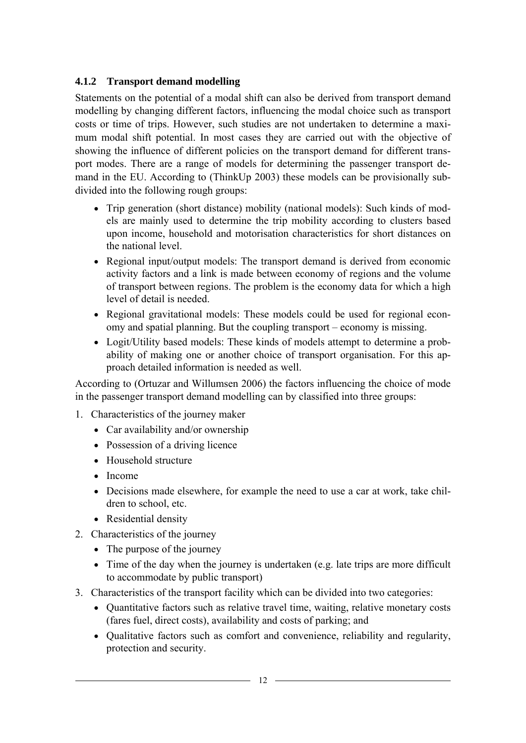### **4.1.2 Transport demand modelling**

Statements on the potential of a modal shift can also be derived from transport demand modelling by changing different factors, influencing the modal choice such as transport costs or time of trips. However, such studies are not undertaken to determine a maximum modal shift potential. In most cases they are carried out with the objective of showing the influence of different policies on the transport demand for different transport modes. There are a range of models for determining the passenger transport demand in the EU. According to (ThinkUp 2003) these models can be provisionally subdivided into the following rough groups:

- Trip generation (short distance) mobility (national models): Such kinds of models are mainly used to determine the trip mobility according to clusters based upon income, household and motorisation characteristics for short distances on the national level.
- Regional input/output models: The transport demand is derived from economic activity factors and a link is made between economy of regions and the volume of transport between regions. The problem is the economy data for which a high level of detail is needed.
- Regional gravitational models: These models could be used for regional economy and spatial planning. But the coupling transport – economy is missing.
- Logit/Utility based models: These kinds of models attempt to determine a probability of making one or another choice of transport organisation. For this approach detailed information is needed as well.

According to (Ortuzar and Willumsen 2006) the factors influencing the choice of mode in the passenger transport demand modelling can by classified into three groups:

- 1. Characteristics of the journey maker
	- Car availability and/or ownership
	- Possession of a driving licence
	- Household structure
	- Income
	- Decisions made elsewhere, for example the need to use a car at work, take children to school, etc.
	- Residential density
- 2. Characteristics of the journey
	- The purpose of the journey
	- Time of the day when the journey is undertaken (e.g. late trips are more difficult to accommodate by public transport)
- 3. Characteristics of the transport facility which can be divided into two categories:
	- Ouantitative factors such as relative travel time, waiting, relative monetary costs (fares fuel, direct costs), availability and costs of parking; and
	- Qualitative factors such as comfort and convenience, reliability and regularity, protection and security.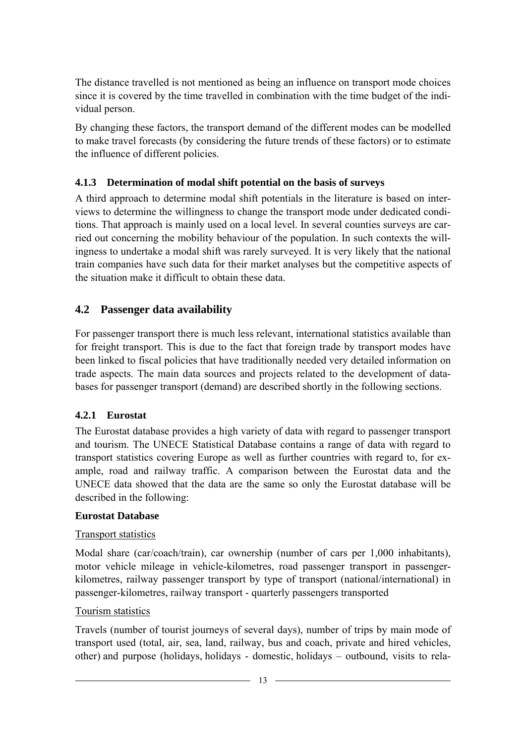<span id="page-12-0"></span>The distance travelled is not mentioned as being an influence on transport mode choices since it is covered by the time travelled in combination with the time budget of the individual person.

By changing these factors, the transport demand of the different modes can be modelled to make travel forecasts (by considering the future trends of these factors) or to estimate the influence of different policies.

#### **4.1.3 Determination of modal shift potential on the basis of surveys**

A third approach to determine modal shift potentials in the literature is based on interviews to determine the willingness to change the transport mode under dedicated conditions. That approach is mainly used on a local level. In several counties surveys are carried out concerning the mobility behaviour of the population. In such contexts the willingness to undertake a modal shift was rarely surveyed. It is very likely that the national train companies have such data for their market analyses but the competitive aspects of the situation make it difficult to obtain these data.

### **4.2 Passenger data availability**

For passenger transport there is much less relevant, international statistics available than for freight transport. This is due to the fact that foreign trade by transport modes have been linked to fiscal policies that have traditionally needed very detailed information on trade aspects. The main data sources and projects related to the development of databases for passenger transport (demand) are described shortly in the following sections.

### **4.2.1 Eurostat**

The Eurostat database provides a high variety of data with regard to passenger transport and tourism. The UNECE Statistical Database contains a range of data with regard to transport statistics covering Europe as well as further countries with regard to, for example, road and railway traffic. A comparison between the Eurostat data and the UNECE data showed that the data are the same so only the Eurostat database will be described in the following:

#### **Eurostat Database**

#### Transport statistics

Modal share (car/coach/train), car ownership (number of cars per 1,000 inhabitants), motor vehicle mileage in vehicle-kilometres, road passenger transport in passengerkilometres, railway passenger transport by type of transport (national/international) in passenger-kilometres, railway transport - quarterly passengers transported

#### Tourism statistics

Travels (number of tourist [journey](http://dict.leo.org/ende?lp=ende&p=thMx..&search=journey)s of several days), number of trips by main mode of transport used (total, air, sea, land, railway, bus and coach, private and hired vehicles, other) and purpose (holidays, holidays - domestic, holidays – outbound, visits to rela-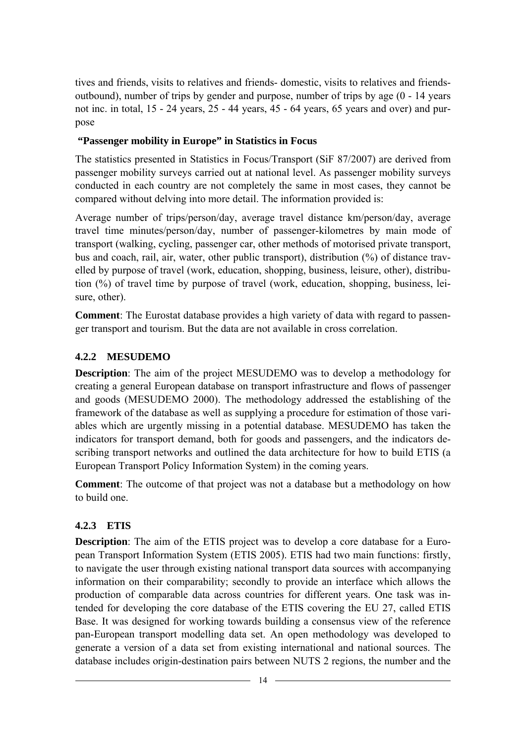tives and friends, visits to relatives and friends- domestic, visits to relatives and friendsoutbound), number of trips by gender and purpose, number of trips by age (0 - 14 years not inc. in total, 15 - 24 years, 25 - 44 years, 45 - 64 years, 65 years and over) and purpose

#### **"Passenger mobility in Europe" in Statistics in Focus**

The statistics presented in Statistics in Focus/Transport (SiF 87/2007) are derived from passenger mobility surveys carried out at national level. As passenger mobility surveys conducted in each country are not completely the same in most cases, they cannot be compared without delving into more detail. The information provided is:

Average number of trips/person/day, average travel distance km/person/day, average travel time minutes/person/day, number of passenger-kilometres by main mode of transport (walking, cycling, passenger car, other methods of motorised private transport, bus and coach, rail, air, water, other public transport), distribution (%) of distance travelled by purpose of travel (work, education, shopping, business, leisure, other), distribution (%) of travel time by purpose of travel (work, education, shopping, business, leisure, other).

**Comment**: The Eurostat database provides a high variety of data with regard to passenger transport and tourism. But the data are not available in cross correlation.

### **4.2.2 MESUDEMO**

**Description**: The aim of the project MESUDEMO was to develop a methodology for creating a general European database on transport infrastructure and flows of passenger and goods (MESUDEMO 2000). The methodology addressed the establishing of the framework of the database as well as supplying a procedure for estimation of those variables which are urgently missing in a potential database. MESUDEMO has taken the indicators for transport demand, both for goods and passengers, and the indicators describing transport networks and outlined the data architecture for how to build ETIS (a European Transport Policy Information System) in the coming years.

**Comment**: The outcome of that project was not a database but a methodology on how to build one.

#### **4.2.3 ETIS**

**Description**: The aim of the ETIS project was to develop a core database for a European Transport Information System (ETIS 2005). ETIS had two main functions: firstly, to navigate the user through existing national transport data sources with accompanying information on their comparability; secondly to provide an interface which allows the production of comparable data across countries for different years. One task was intended for developing the core database of the ETIS covering the EU 27, called ETIS Base. It was designed for working towards building a consensus view of the reference pan-European transport modelling data set. An open methodology was developed to generate a version of a data set from existing international and national sources. The database includes origin-destination pairs between NUTS 2 regions, the number and the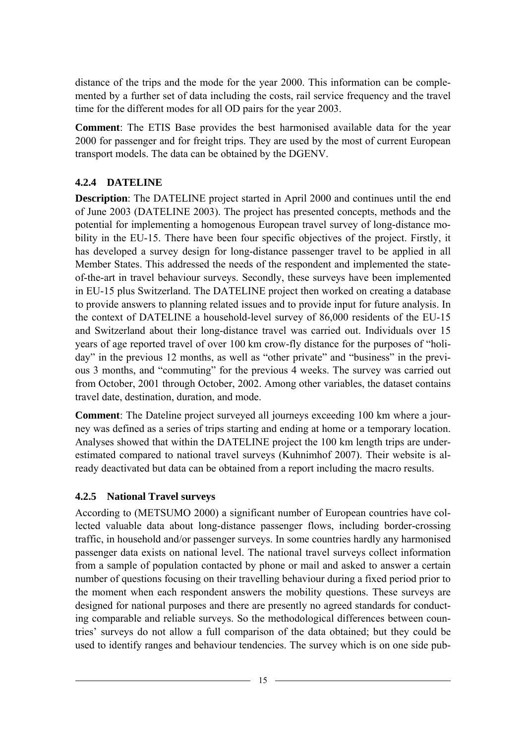distance of the trips and the mode for the year 2000. This information can be complemented by a further set of data including the costs, rail service frequency and the travel time for the different modes for all OD pairs for the year 2003.

**Comment**: The ETIS Base provides the best harmonised available data for the year 2000 for passenger and for freight trips. They are used by the most of current European transport models. The data can be obtained by the DGENV.

### **4.2.4 DATELINE**

**Description**: The DATELINE project started in April 2000 and continues until the end of June 2003 (DATELINE 2003). The project has presented concepts, methods and the potential for implementing a homogenous European travel survey of long-distance mobility in the EU-15. There have been four specific objectives of the project. Firstly, it has developed a survey design for long-distance passenger travel to be applied in all Member States. This addressed the needs of the respondent and implemented the stateof-the-art in travel behaviour surveys. Secondly, these surveys have been implemented in EU-15 plus Switzerland. The DATELINE project then worked on creating a database to provide answers to planning related issues and to provide input for future analysis. In the context of DATELINE a household-level survey of 86,000 residents of the EU-15 and Switzerland about their long-distance travel was carried out. Individuals over 15 years of age reported travel of over 100 km crow-fly distance for the purposes of "holiday" in the previous 12 months, as well as "other private" and "business" in the previous 3 months, and "commuting" for the previous 4 weeks. The survey was carried out from October, 2001 through October, 2002. Among other variables, the dataset contains travel date, destination, duration, and mode.

**Comment**: The Dateline project surveyed all journeys exceeding 100 km where a journey was defined as a series of trips starting and ending at home or a temporary location. Analyses showed that within the DATELINE project the 100 km length trips are underestimated compared to national travel surveys (Kuhnimhof 2007). Their website is already deactivated but data can be obtained from a report including the macro results.

#### **4.2.5 National Travel surveys**

According to (METSUMO 2000) a significant number of European countries have collected valuable data about long-distance passenger flows, including border-crossing traffic, in household and/or passenger surveys. In some countries hardly any harmonised passenger data exists on national level. The national travel surveys collect information from a sample of population contacted by phone or mail and asked to answer a certain number of questions focusing on their travelling behaviour during a fixed period prior to the moment when each respondent answers the mobility questions. These surveys are designed for national purposes and there are presently no agreed standards for conducting comparable and reliable surveys. So the methodological differences between countries' surveys do not allow a full comparison of the data obtained; but they could be used to identify ranges and behaviour tendencies. The survey which is on one side pub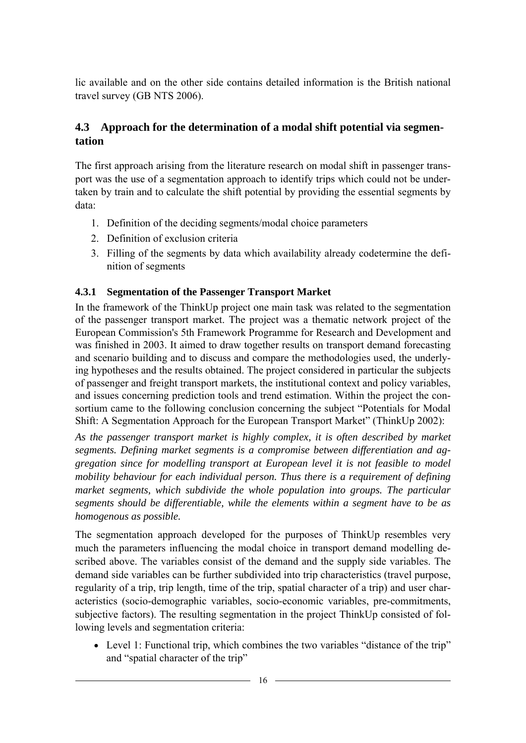<span id="page-15-0"></span>lic available and on the other side contains detailed information is the British national travel survey (GB NTS 2006).

### **4.3 Approach for the determination of a modal shift potential via segmentation**

The first approach arising from the literature research on modal shift in passenger transport was the use of a segmentation approach to identify trips which could not be undertaken by train and to calculate the shift potential by providing the essential segments by data:

- 1. Definition of the deciding segments/modal choice parameters
- 2. Definition of exclusion criteria
- 3. Filling of the segments by data which availability already codetermine the definition of segments

### **4.3.1 Segmentation of the Passenger Transport Market**

In the framework of the ThinkUp project one main task was related to the segmentation of the passenger transport market. The project was a thematic network project of the European Commission's 5th Framework Programme for Research and Development and was finished in 2003. It aimed to draw together results on transport demand forecasting and scenario building and to discuss and compare the methodologies used, the underlying hypotheses and the results obtained. The project considered in particular the subjects of passenger and freight transport markets, the institutional context and policy variables, and issues concerning prediction tools and trend estimation. Within the project the consortium came to the following conclusion concerning the subject "Potentials for Modal Shift: A Segmentation Approach for the European Transport Market" (ThinkUp 2002):

As the passenger transport market is highly complex, it is often described by market *segments. Defining market segments is a compromise between differentiation and aggregation since for modelling transport at European level it is not feasible to model mobility behaviour for each individual person. Thus there is a requirement of defining market segments, which subdivide the whole population into groups. The particular segments should be differentiable, while the elements within a segment have to be as homogenous as possible.* 

The segmentation approach developed for the purposes of ThinkUp resembles very much the parameters influencing the modal choice in transport demand modelling described above. The variables consist of the demand and the supply side variables. The demand side variables can be further subdivided into trip characteristics (travel purpose, regularity of a trip, trip length, time of the trip, spatial character of a trip) and user characteristics (socio-demographic variables, socio-economic variables, pre-commitments, subjective factors). The resulting segmentation in the project ThinkUp consisted of following levels and segmentation criteria:

• Level 1: Functional trip, which combines the two variables "distance of the trip" and "spatial character of the trip"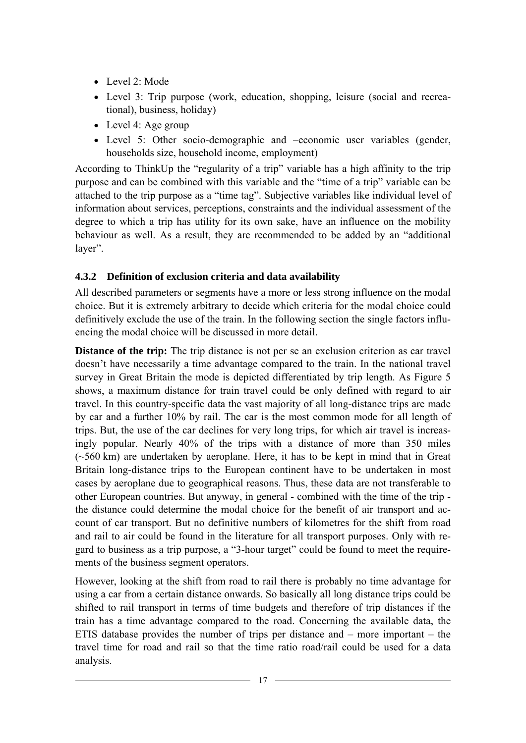- <span id="page-16-0"></span>• Level 2: Mode
- Level 3: Trip purpose (work, education, shopping, leisure (social and recreational), business, holiday)
- Level 4: Age group
- Level 5: Other socio-demographic and –economic user variables (gender, households size, household income, employment)

According to ThinkUp the "regularity of a trip" variable has a high affinity to the trip purpose and can be combined with this variable and the "time of a trip" variable can be attached to the trip purpose as a "time tag". Subjective variables like individual level of information about services, perceptions, constraints and the individual assessment of the degree to which a trip has utility for its own sake, have an influence on the mobility behaviour as well. As a result, they are recommended to be added by an "additional layer".

#### **4.3.2 Definition of exclusion criteria and data availability**

All described parameters or segments have a more or less strong influence on the modal choice. But it is extremely arbitrary to decide which criteria for the modal choice could definitively exclude the use of the train. In the following section the single factors influencing the modal choice will be discussed in more detail.

**Distance of the trip:** The trip distance is not per se an exclusion criterion as car travel doesn't have necessarily a time advantage compared to the train. In the national travel survey in Great Britain the mode is depicted differentiated by trip length. As [Figure 5](#page-17-0) shows, a maximum distance for train travel could be only defined with regard to air travel. In this country-specific data the vast majority of all long-distance trips are made by car and a further 10% by rail. The car is the most common mode for all length of trips. But, the use of the car declines for very long trips, for which air travel is increasingly popular. Nearly 40% of the trips with a distance of more than 350 miles (~560 km) are undertaken by aeroplane. Here, it has to be kept in mind that in Great Britain long-distance trips to the European continent have to be undertaken in most cases by aeroplane due to geographical reasons. Thus, these data are not transferable to other European countries. But anyway, in general - combined with the time of the trip the distance could determine the modal choice for the benefit of air transport and account of car transport. But no definitive numbers of kilometres for the shift from road and rail to air could be found in the literature for all transport purposes. Only with regard to business as a trip purpose, a "3-hour target" could be found to meet the requirements of the business segment operators.

However, looking at the shift from road to rail there is probably no time advantage for using a car from a certain distance onwards. So basically all long distance trips could be shifted to rail transport in terms of time budgets and therefore of trip distances if the train has a time advantage compared to the road. Concerning the available data, the ETIS database provides the number of trips per distance and – more important – the travel time for road and rail so that the time ratio road/rail could be used for a data analysis.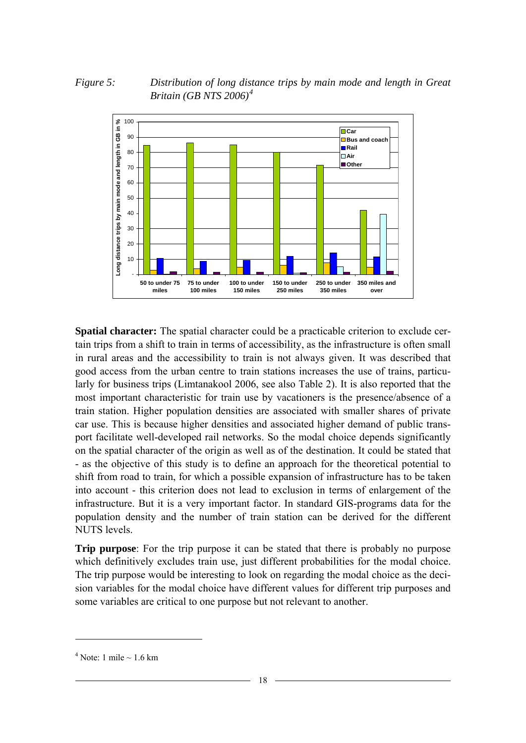<span id="page-17-0"></span>*Figure 5: Distribution of long distance trips by main mode and length in Great Britain (GB NTS 2006)[4](#page-17-0)*



**Spatial character:** The spatial character could be a practicable criterion to exclude certain trips from a shift to train in terms of accessibility, as the infrastructure is often small in rural areas and the accessibility to train is not always given. It was described that good access from the urban centre to train stations increases the use of trains, particularly for business trips (Limtanakool 2006, see also Table 2). It is also reported that the most important characteristic for train use by vacationers is the presence/absence of a train station. Higher population densities are associated with smaller shares of private car use. This is because higher densities and associated higher demand of public transport facilitate well-developed rail networks. So the modal choice depends significantly on the spatial character of the origin as well as of the destination. It could be stated that - as the objective of this study is to define an approach for the theoretical potential to shift from road to train, for which a possible expansion of infrastructure has to be taken into account - this criterion does not lead to exclusion in terms of enlargement of the infrastructure. But it is a very important factor. In standard GIS-programs data for the population density and the number of train station can be derived for the different NUTS levels.

**Trip purpose**: For the trip purpose it can be stated that there is probably no purpose which definitively excludes train use, just different probabilities for the modal choice. The trip purpose would be interesting to look on regarding the modal choice as the decision variables for the modal choice have different values for different trip purposes and some variables are critical to one purpose but not relevant to another.

<u>.</u>

 $4$  Note: 1 mile  $\sim$  1.6 km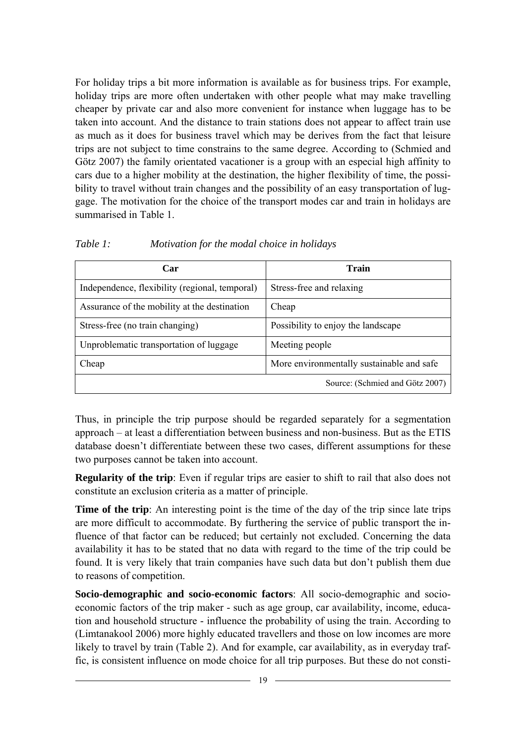<span id="page-18-0"></span>For holiday trips a bit more information is available as for business trips. For example, holiday trips are more often undertaken with other people what may make travelling cheaper by private car and also more convenient for instance when luggage has to be taken into account. And the distance to train stations does not appear to affect train use as much as it does for business travel which may be derives from the fact that leisure trips are not subject to time constrains to the same degree. According to (Schmied and Götz 2007) the family orientated vacationer is a group with an especial high affinity to cars due to a higher mobility at the destination, the higher flexibility of time, the possibility to travel without train changes and the possibility of an easy transportation of luggage. The motivation for the choice of the transport modes car and train in holidays are summarised in [Table 1.](#page-18-0)

| Car                                            | Train                                     |
|------------------------------------------------|-------------------------------------------|
| Independence, flexibility (regional, temporal) | Stress-free and relaxing                  |
| Assurance of the mobility at the destination   | Cheap                                     |
| Stress-free (no train changing)                | Possibility to enjoy the landscape        |
| Unproblematic transportation of luggage        | Meeting people                            |
| Cheap                                          | More environmentally sustainable and safe |
|                                                | Source: (Schmied and Götz 2007)           |

| Table 1:<br>Motivation for the modal choice in holidays |
|---------------------------------------------------------|
|---------------------------------------------------------|

Thus, in principle the trip purpose should be regarded separately for a segmentation approach – at least a differentiation between business and non-business. But as the ETIS database doesn't differentiate between these two cases, different assumptions for these two purposes cannot be taken into account.

**Regularity of the trip**: Even if regular trips are easier to shift to rail that also does not constitute an exclusion criteria as a matter of principle.

**Time of the trip**: An interesting point is the time of the day of the trip since late trips are more difficult to accommodate. By furthering the service of public transport the influence of that factor can be reduced; but certainly not excluded. Concerning the data availability it has to be stated that no data with regard to the time of the trip could be found. It is very likely that train companies have such data but don't publish them due to reasons of competition.

**Socio-demographic and socio-economic factors**: All socio-demographic and socioeconomic factors of the trip maker - such as age group, car availability, income, education and household structure - influence the probability of using the train. According to (Limtanakool 2006) more highly educated travellers and those on low incomes are more likely to travel by train (Table 2). And for example, car availability, as in everyday traffic, is consistent influence on mode choice for all trip purposes. But these do not consti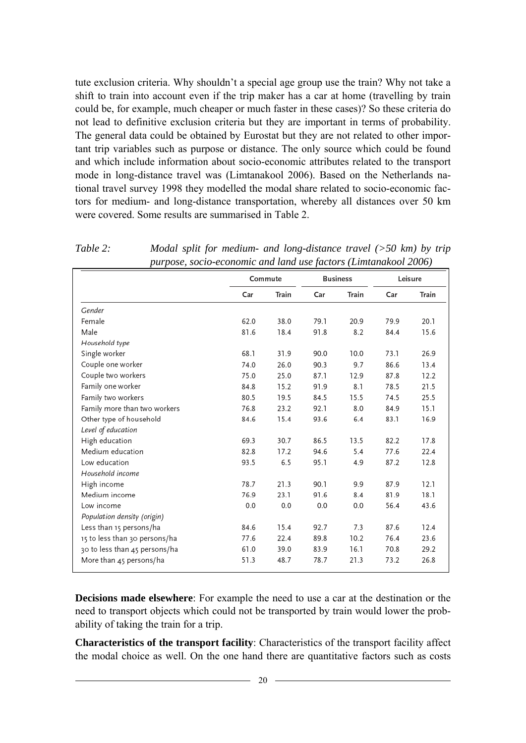tute exclusion criteria. Why shouldn't a special age group use the train? Why not take a shift to train into account even if the trip maker has a car at home (travelling by train could be, for example, much cheaper or much faster in these cases)? So these criteria do not lead to definitive exclusion criteria but they are important in terms of probability. The general data could be obtained by Eurostat but they are not related to other important trip variables such as purpose or distance. The only source which could be found and which include information about socio-economic attributes related to the transport mode in long-distance travel was (Limtanakool 2006). Based on the Netherlands national travel survey 1998 they modelled the modal share related to socio-economic factors for medium- and long-distance transportation, whereby all distances over 50 km were covered. Some results are summarised in Table 2.

*Table 2: Modal split for medium- and long-distance travel (>50 km) by trip purpose, socio-economic and land use factors (Limtanakool 2006)* 

|                               |      | Commute |      | <b>Business</b> |      | Leisure |
|-------------------------------|------|---------|------|-----------------|------|---------|
|                               | Car  | Train   | Car  | Train           | Car  | Train   |
| Gender                        |      |         |      |                 |      |         |
| Female                        | 62.0 | 38.0    | 79.1 | 20.9            | 79.9 | 20.1    |
| Male                          | 81.6 | 18.4    | 91.8 | 8.2             | 84.4 | 15.6    |
| Household type                |      |         |      |                 |      |         |
| Single worker                 | 68.1 | 31.9    | 90.0 | 10.0            | 73.1 | 26.9    |
| Couple one worker             | 74.0 | 26.0    | 90.3 | 9.7             | 86.6 | 13.4    |
| Couple two workers            | 75.0 | 25.0    | 87.1 | 12.9            | 87.8 | 12.2    |
| Family one worker             | 84.8 | 15.2    | 91.9 | 8.1             | 78.5 | 21.5    |
| Family two workers            | 80.5 | 19.5    | 84.5 | 15.5            | 74.5 | 25.5    |
| Family more than two workers  | 76.8 | 23.2    | 92.1 | 8.0             | 84.9 | 15.1    |
| Other type of household       | 84.6 | 15.4    | 93.6 | 6.4             | 83.1 | 16.9    |
| Level of education            |      |         |      |                 |      |         |
| High education                | 69.3 | 30.7    | 86.5 | 13.5            | 82.2 | 17.8    |
| Medium education              | 82.8 | 17.2    | 94.6 | 5.4             | 77.6 | 22.4    |
| Low education                 | 93.5 | 6.5     | 95.1 | 4.9             | 87.2 | 12.8    |
| Household income              |      |         |      |                 |      |         |
| High income                   | 78.7 | 21.3    | 90.1 | 9.9             | 87.9 | 12.1    |
| Medium income                 | 76.9 | 23.1    | 91.6 | 8.4             | 81.9 | 18.1    |
| Low income                    | 0.0  | 0.0     | 0.0  | 0.0             | 56.4 | 43.6    |
| Population density (origin)   |      |         |      |                 |      |         |
| Less than 15 persons/ha       | 84.6 | 15.4    | 92.7 | 7.3             | 87.6 | 12.4    |
| 15 to less than 30 persons/ha | 77.6 | 22.4    | 89.8 | 10.2            | 76.4 | 23.6    |
| 30 to less than 45 persons/ha | 61.0 | 39.0    | 83.9 | 16.1            | 70.8 | 29.2    |
| More than 45 persons/ha       | 51.3 | 48.7    | 78.7 | 21.3            | 73.2 | 26.8    |

**Decisions made elsewhere**: For example the need to use a car at the destination or the need to transport objects which could not be transported by train would lower the probability of taking the train for a trip.

**Characteristics of the transport facility**: Characteristics of the transport facility affect the modal choice as well. On the one hand there are quantitative factors such as costs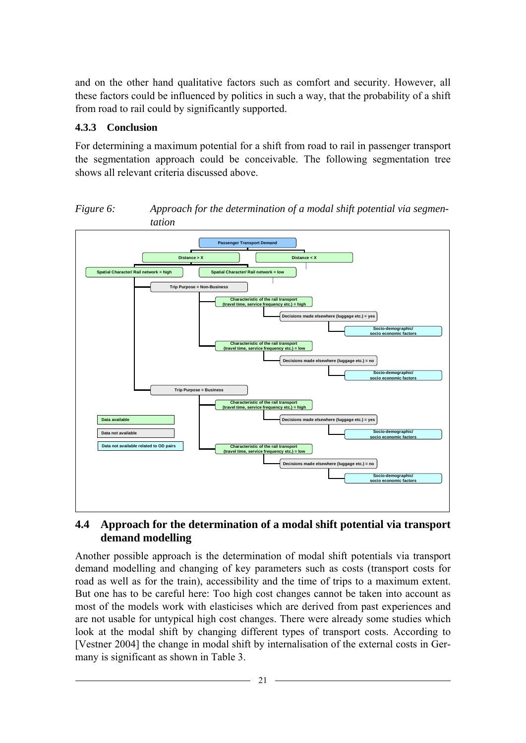<span id="page-20-0"></span>and on the other hand qualitative factors such as comfort and security. However, all these factors could be influenced by politics in such a way, that the probability of a shift from road to rail could by significantly supported.

### **4.3.3 Conclusion**

For determining a maximum potential for a shift from road to rail in passenger transport the segmentation approach could be conceivable. The following segmentation tree shows all relevant criteria discussed above.



*Figure 6: Approach for the determination of a modal shift potential via segmentation* 

### **4.4 Approach for the determination of a modal shift potential via transport demand modelling**

Another possible approach is the determination of modal shift potentials via transport demand modelling and changing of key parameters such as costs (transport costs for road as well as for the train), accessibility and the time of trips to a maximum extent. But one has to be careful here: Too high cost changes cannot be taken into account as most of the models work with elasticises which are derived from past experiences and are not usable for untypical high cost changes. There were already some studies which look at the modal shift by changing different types of transport costs. According to [Vestner 2004] the change in modal shift by internalisation of the external costs in Germany is significant as shown in [Table 3](#page-21-0).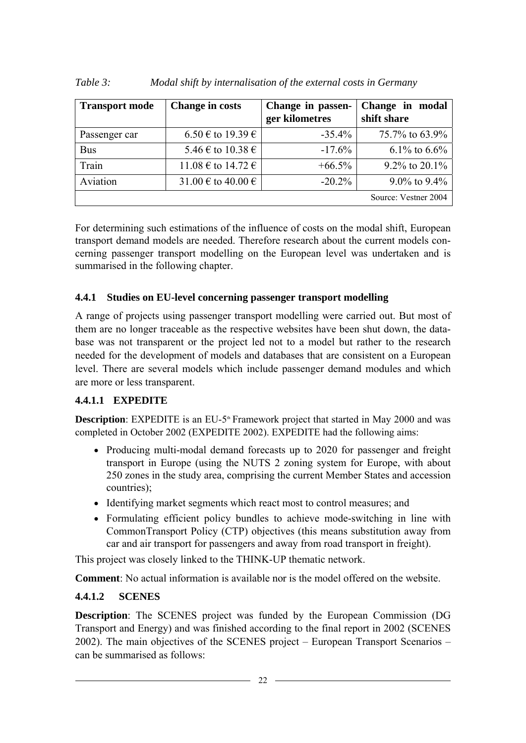| <b>Transport mode</b> | <b>Change in costs</b>                             | Change in passen-<br>ger kilometres | Change in modal<br>shift share |
|-----------------------|----------------------------------------------------|-------------------------------------|--------------------------------|
| Passenger car         | $6.50 \text{ } \in \text{ to } 19.39 \text{ } \in$ | $-35.4\%$                           | 75.7% to 63.9%                 |
| <b>Bus</b>            | 5.46 € to 10.38 €                                  | $-17.6\%$                           | 6.1% to $6.6\%$                |
| Train                 | 11.08 € to 14.72 €                                 | $+66.5\%$                           | 9.2% to $20.1\%$               |
| Aviation              | 31.00 € to 40.00 €                                 | $-20.2\%$                           | $9.0\%$ to $9.4\%$             |
|                       |                                                    |                                     | Source: Vestner 2004           |

<span id="page-21-0"></span>*Table 3: Modal shift by internalisation of the external costs in Germany* 

For determining such estimations of the influence of costs on the modal shift, European transport demand models are needed. Therefore research about the current models concerning passenger transport modelling on the European level was undertaken and is summarised in the following chapter.

### **4.4.1 Studies on EU-level concerning passenger transport modelling**

A range of projects using passenger transport modelling were carried out. But most of them are no longer traceable as the respective websites have been shut down, the database was not transparent or the project led not to a model but rather to the research needed for the development of models and databases that are consistent on a European level. There are several models which include passenger demand modules and which are more or less transparent.

### **4.4.1.1 EXPEDITE**

**Description**: EXPEDITE is an EU-5<sup>th</sup> Framework project that started in May 2000 and was completed in October 2002 (EXPEDITE 2002). EXPEDITE had the following aims:

- Producing multi-modal demand forecasts up to 2020 for passenger and freight transport in Europe (using the NUTS 2 zoning system for Europe, with about 250 zones in the study area, comprising the current Member States and accession countries);
- Identifying market segments which react most to control measures; and
- Formulating efficient policy bundles to achieve mode-switching in line with CommonTransport Policy (CTP) objectives (this means substitution away from car and air transport for passengers and away from road transport in freight).

This project was closely linked to the THINK-UP thematic network.

**Comment**: No actual information is available nor is the model offered on the website.

#### **4.4.1.2 SCENES**

**Description**: The SCENES project was funded by the European Commission (DG Transport and Energy) and was finished according to the final report in 2002 (SCENES 2002). The main objectives of the SCENES project – European Transport Scenarios – can be summarised as follows: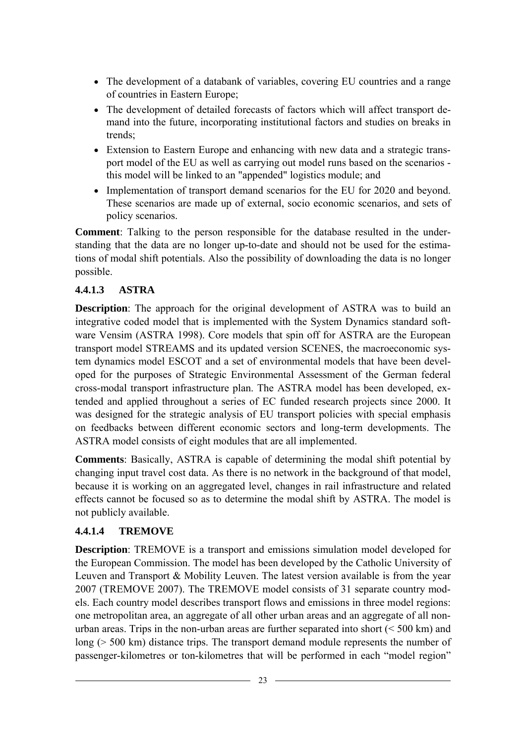- The development of a databank of variables, covering EU countries and a range of countries in Eastern Europe;
- The development of detailed forecasts of factors which will affect transport demand into the future, incorporating institutional factors and studies on breaks in trends;
- Extension to Eastern Europe and enhancing with new data and a strategic transport model of the EU as well as carrying out model runs based on the scenarios this model will be linked to an "appended" logistics module; and
- Implementation of transport demand scenarios for the EU for 2020 and beyond. These scenarios are made up of external, socio economic scenarios, and sets of policy scenarios.

**Comment**: Talking to the person responsible for the database resulted in the understanding that the data are no longer up-to-date and should not be used for the estimations of modal shift potentials. Also the possibility of downloading the data is no longer possible.

### **4.4.1.3 ASTRA**

**Description**: The approach for the original development of ASTRA was to build an integrative coded model that is implemented with the System Dynamics standard software Vensim (ASTRA 1998). Core models that spin off for ASTRA are the European transport model STREAMS and its updated version SCENES, the macroeconomic system dynamics model ESCOT and a set of environmental models that have been developed for the purposes of Strategic Environmental Assessment of the German federal cross-modal transport infrastructure plan. The ASTRA model has been developed, extended and applied throughout a series of EC funded research projects since 2000. It was designed for the strategic analysis of EU transport policies with special emphasis on feedbacks between different economic sectors and long-term developments. The ASTRA model consists of eight modules that are all implemented.

**Comments**: Basically, ASTRA is capable of determining the modal shift potential by changing input travel cost data. As there is no network in the background of that model, because it is working on an aggregated level, changes in rail infrastructure and related effects cannot be focused so as to determine the modal shift by ASTRA. The model is not publicly available.

### **4.4.1.4 TREMOVE**

**Description**: TREMOVE is a transport and emissions simulation model developed for the European Commission. The model has been developed by the Catholic University of Leuven and Transport & Mobility Leuven. The latest version available is from the year 2007 (TREMOVE 2007). The TREMOVE model consists of 31 separate country models. Each country model describes transport flows and emissions in three model regions: one metropolitan area, an aggregate of all other urban areas and an aggregate of all nonurban areas. Trips in the non-urban areas are further separated into short (< 500 km) and long (> 500 km) distance trips. The transport demand module represents the number of passenger-kilometres or ton-kilometres that will be performed in each "model region"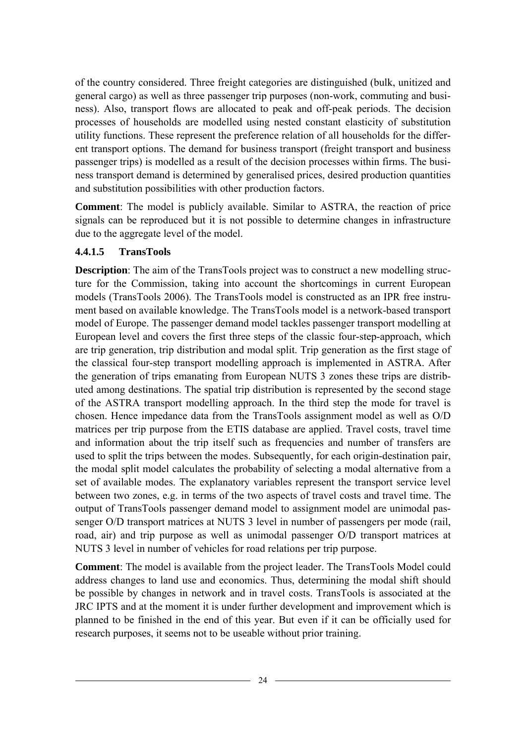of the country considered. Three freight categories are distinguished (bulk, unitized and general cargo) as well as three passenger trip purposes (non-work, commuting and business). Also, transport flows are allocated to peak and off-peak periods. The decision processes of households are modelled using nested constant elasticity of substitution utility functions. These represent the preference relation of all households for the different transport options. The demand for business transport (freight transport and business passenger trips) is modelled as a result of the decision processes within firms. The business transport demand is determined by generalised prices, desired production quantities and substitution possibilities with other production factors.

**Comment**: The model is publicly available. Similar to ASTRA, the reaction of price signals can be reproduced but it is not possible to determine changes in infrastructure due to the aggregate level of the model.

#### **4.4.1.5 TransTools**

**Description**: The aim of the TransTools project was to construct a new modelling structure for the Commission, taking into account the shortcomings in current European models (TransTools 2006). The TransTools model is constructed as an IPR free instrument based on available knowledge. The TransTools model is a network-based transport model of Europe. The passenger demand model tackles passenger transport modelling at European level and covers the first three steps of the classic four-step-approach, which are trip generation, trip distribution and modal split. Trip generation as the first stage of the classical four-step transport modelling approach is implemented in ASTRA. After the generation of trips emanating from European NUTS 3 zones these trips are distributed among destinations. The spatial trip distribution is represented by the second stage of the ASTRA transport modelling approach. In the third step the mode for travel is chosen. Hence impedance data from the TransTools assignment model as well as O/D matrices per trip purpose from the ETIS database are applied. Travel costs, travel time and information about the trip itself such as frequencies and number of transfers are used to split the trips between the modes. Subsequently, for each origin-destination pair, the modal split model calculates the probability of selecting a modal alternative from a set of available modes. The explanatory variables represent the transport service level between two zones, e.g. in terms of the two aspects of travel costs and travel time. The output of TransTools passenger demand model to assignment model are unimodal passenger O/D transport matrices at NUTS 3 level in number of passengers per mode (rail, road, air) and trip purpose as well as unimodal passenger O/D transport matrices at NUTS 3 level in number of vehicles for road relations per trip purpose.

**Comment**: The model is available from the project leader. The TransTools Model could address changes to land use and economics. Thus, determining the modal shift should be possible by changes in network and in travel costs. TransTools is associated at the JRC IPTS and at the moment it is under further development and improvement which is planned to be finished in the end of this year. But even if it can be officially used for research purposes, it seems not to be useable without prior training.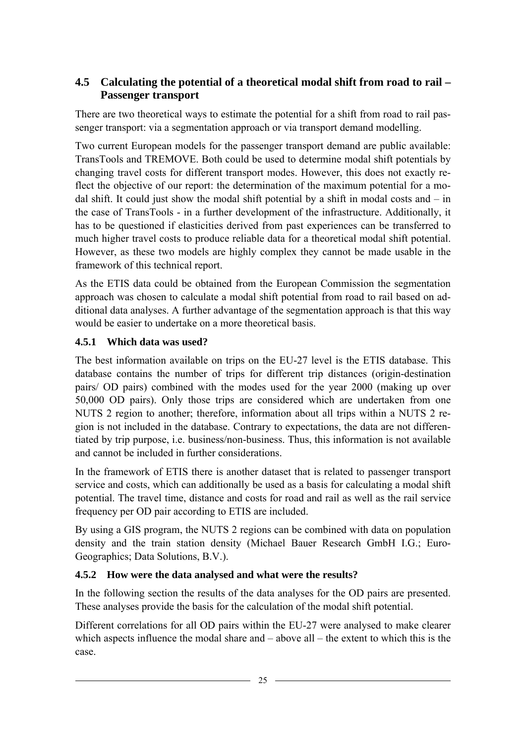### <span id="page-24-0"></span>**4.5 Calculating the potential of a theoretical modal shift from road to rail – Passenger transport**

There are two theoretical ways to estimate the potential for a shift from road to rail passenger transport: via a segmentation approach or via transport demand modelling.

Two current European models for the passenger transport demand are public available: TransTools and TREMOVE. Both could be used to determine modal shift potentials by changing travel costs for different transport modes. However, this does not exactly reflect the objective of our report: the determination of the maximum potential for a modal shift. It could just show the modal shift potential by a shift in modal costs and  $-$  in the case of TransTools - in a further development of the infrastructure. Additionally, it has to be questioned if elasticities derived from past experiences can be transferred to much higher travel costs to produce reliable data for a theoretical modal shift potential. However, as these two models are highly complex they cannot be made usable in the framework of this technical report.

As the ETIS data could be obtained from the European Commission the segmentation approach was chosen to calculate a modal shift potential from road to rail based on additional data analyses. A further advantage of the segmentation approach is that this way would be easier to undertake on a more theoretical basis.

### **4.5.1 Which data was used?**

The best information available on trips on the EU-27 level is the ETIS database. This database contains the number of trips for different trip distances (origin-destination pairs/ OD pairs) combined with the modes used for the year 2000 (making up over 50,000 OD pairs). Only those trips are considered which are undertaken from one NUTS 2 region to another; therefore, information about all trips within a NUTS 2 region is not included in the database. Contrary to expectations, the data are not differentiated by trip purpose, i.e. business/non-business. Thus, this information is not available and cannot be included in further considerations.

In the framework of ETIS there is another dataset that is related to passenger transport service and costs, which can additionally be used as a basis for calculating a modal shift potential. The travel time, distance and costs for road and rail as well as the rail service frequency per OD pair according to ETIS are included.

By using a GIS program, the NUTS 2 regions can be combined with data on population density and the train station density (Michael Bauer Research GmbH I.G.; Euro-Geographics; Data Solutions, B.V.).

### **4.5.2 How were the data analysed and what were the results?**

In the following section the results of the data analyses for the OD pairs are presented. These analyses provide the basis for the calculation of the modal shift potential.

Different correlations for all OD pairs within the EU-27 were analysed to make clearer which aspects influence the modal share and – above all – the extent to which this is the case.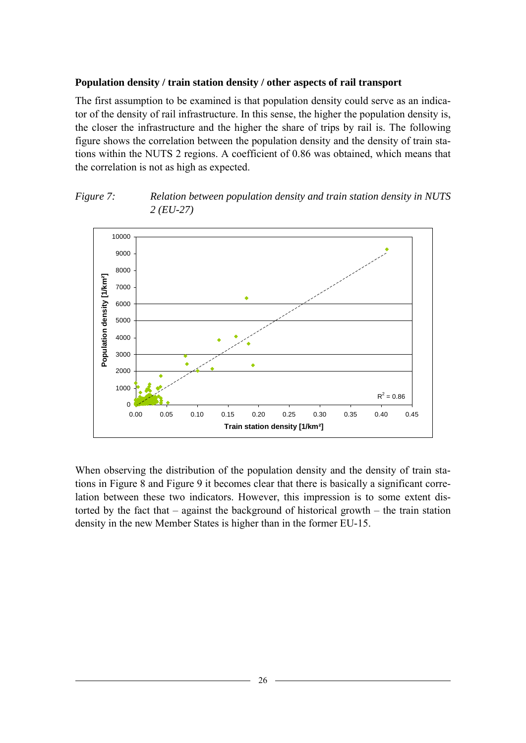#### <span id="page-25-0"></span>**Population density / train station density / other aspects of rail transport**

The first assumption to be examined is that population density could serve as an indicator of the density of rail infrastructure. In this sense, the higher the population density is, the closer the infrastructure and the higher the share of trips by rail is. The following figure shows the correlation between the population density and the density of train stations within the NUTS 2 regions. A coefficient of 0.86 was obtained, which means that the correlation is not as high as expected.





When observing the distribution of the population density and the density of train stations in [Figure 8](#page-26-0) and [Figure 9](#page-26-0) it becomes clear that there is basically a significant correlation between these two indicators. However, this impression is to some extent distorted by the fact that – against the background of historical growth – the train station density in the new Member States is higher than in the former EU-15.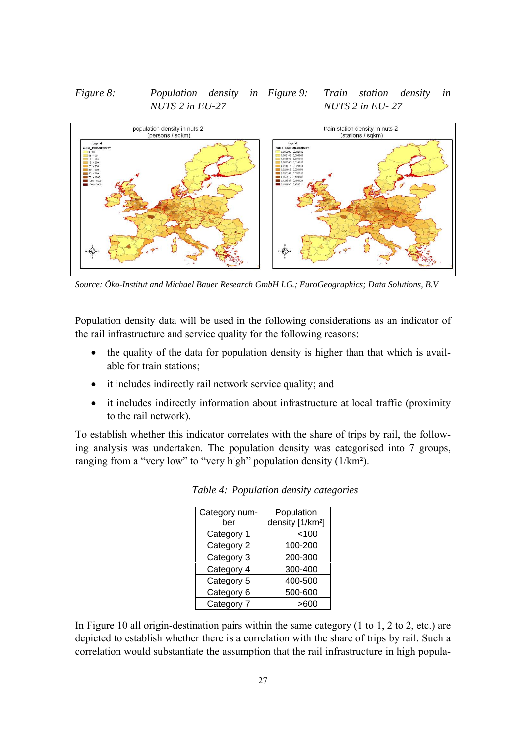#### <span id="page-26-0"></span>*Figure 8: Population density in NUTS 2 in EU-27 Frain station density in NUTS 2 in EU- 27*



*Source: Öko-Institut and Michael Bauer Research GmbH I.G.; EuroGeographics; Data Solutions, B.V* 

Population density data will be used in the following considerations as an indicator of the rail infrastructure and service quality for the following reasons:

- the quality of the data for population density is higher than that which is available for train stations;
- it includes indirectly rail network service quality; and
- it includes indirectly information about infrastructure at local traffic (proximity to the rail network).

To establish whether this indicator correlates with the share of trips by rail, the following analysis was undertaken. The population density was categorised into 7 groups, ranging from a "very low" to "very high" population density (1/km²).

| Category num-<br>ber | Population<br>density [1/km <sup>2</sup> ] |
|----------------------|--------------------------------------------|
|                      |                                            |
| Category 1           | < 100                                      |
| Category 2           | 100-200                                    |
| Category 3           | 200-300                                    |
| Category 4           | 300-400                                    |
| Category 5           | 400-500                                    |
| Category 6           | 500-600                                    |
| Category 7           | >600                                       |

 *Table 4: Population density categories* 

In [Figure 10](#page-27-0) all origin-destination pairs within the same category (1 to 1, 2 to 2, etc.) are depicted to establish whether there is a correlation with the share of trips by rail. Such a correlation would substantiate the assumption that the rail infrastructure in high popula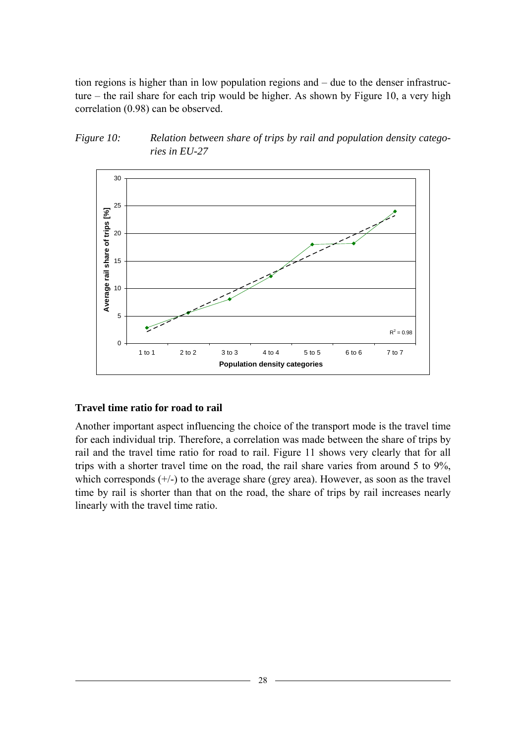<span id="page-27-0"></span>tion regions is higher than in low population regions and – due to the denser infrastructure – the rail share for each trip would be higher. As shown by [Figure 10](#page-27-0), a very high correlation (0.98) can be observed.





#### **Travel time ratio for road to rail**

Another important aspect influencing the choice of the transport mode is the travel time for each individual trip. Therefore, a correlation was made between the share of trips by rail and the travel time ratio for road to rail. [Figure 11](#page-28-0) shows very clearly that for all trips with a shorter travel time on the road, the rail share varies from around 5 to 9%, which corresponds  $(+/-)$  to the average share (grey area). However, as soon as the travel time by rail is shorter than that on the road, the share of trips by rail increases nearly linearly with the travel time ratio.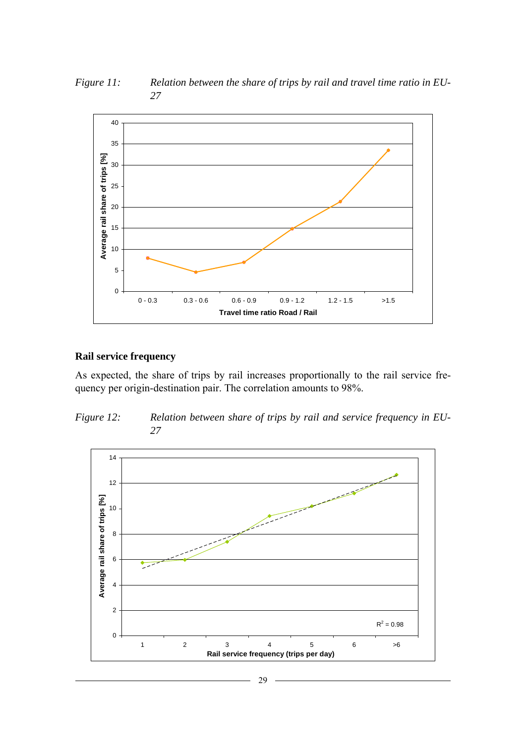<span id="page-28-0"></span>*Figure 11: Relation between the share of trips by rail and travel time ratio in EU-*



#### **Rail service frequency**

As expected, the share of trips by rail increases proportionally to the rail service frequency per origin-destination pair. The correlation amounts to 98%.



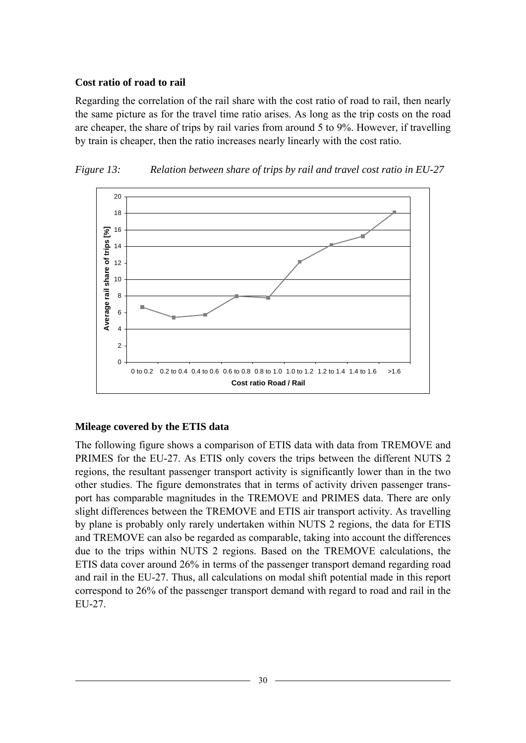#### <span id="page-29-0"></span>**Cost ratio of road to rail**

Regarding the correlation of the rail share with the cost ratio of road to rail, then nearly the same picture as for the travel time ratio arises. As long as the trip costs on the road are cheaper, the share of trips by rail varies from around 5 to 9%. However, if travelling by train is cheaper, then the ratio increases nearly linearly with the cost ratio.





#### **Mileage covered by the ETIS data**

The following figure shows a comparison of ETIS data with data from TREMOVE and PRIMES for the EU-27. As ETIS only covers the trips between the different NUTS 2 regions, the resultant passenger transport activity is significantly lower than in the two other studies. The figure demonstrates that in terms of activity driven passenger transport has comparable magnitudes in the TREMOVE and PRIMES data. There are only slight differences between the TREMOVE and ETIS air transport activity. As travelling by plane is probably only rarely undertaken within NUTS 2 regions, the data for ETIS and TREMOVE can also be regarded as comparable, taking into account the differences due to the trips within NUTS 2 regions. Based on the TREMOVE calculations, the ETIS data cover around 26% in terms of the passenger transport demand regarding road and rail in the EU-27. Thus, all calculations on modal shift potential made in this report correspond to 26% of the passenger transport demand with regard to road and rail in the EU-27.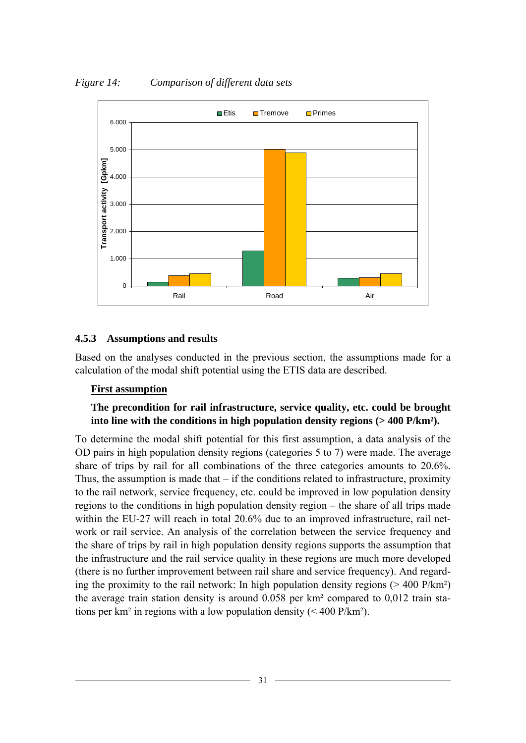<span id="page-30-0"></span>*Figure 14: Comparison of different data sets* 



#### **4.5.3 Assumptions and results**

Based on the analyses conducted in the previous section, the assumptions made for a calculation of the modal shift potential using the ETIS data are described.

#### **First assumption**

#### **The precondition for rail infrastructure, service quality, etc. could be brought into line with the conditions in high population density regions (> 400 P/km²).**

To determine the modal shift potential for this first assumption, a data analysis of the OD pairs in high population density regions (categories 5 to 7) were made. The average share of trips by rail for all combinations of the three categories amounts to 20.6%. Thus, the assumption is made that  $-$  if the conditions related to infrastructure, proximity to the rail network, service frequency, etc. could be improved in low population density regions to the conditions in high population density region – the share of all trips made within the EU-27 will reach in total 20.6% due to an improved infrastructure, rail network or rail service. An analysis of the correlation between the service frequency and the share of trips by rail in high population density regions supports the assumption that the infrastructure and the rail service quality in these regions are much more developed (there is no further improvement between rail share and service frequency). And regarding the proximity to the rail network: In high population density regions  $(> 400 \text{ P/km}^2)$ the average train station density is around 0.058 per km² compared to 0,012 train stations per km<sup>2</sup> in regions with a low population density  $(< 400 \text{ P/km}^2)$ .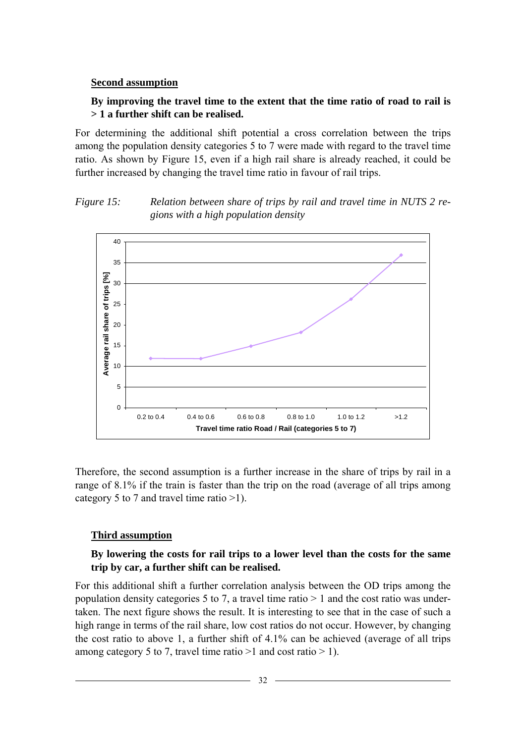#### <span id="page-31-0"></span>**Second assumption**

#### **By improving the travel time to the extent that the time ratio of road to rail is > 1 a further shift can be realised.**

For determining the additional shift potential a cross correlation between the trips among the population density categories 5 to 7 were made with regard to the travel time ratio. As shown by [Figure 15,](#page-31-0) even if a high rail share is already reached, it could be further increased by changing the travel time ratio in favour of rail trips.

#### *Figure 15: Relation between share of trips by rail and travel time in NUTS 2 regions with a high population density*



Therefore, the second assumption is a further increase in the share of trips by rail in a range of 8.1% if the train is faster than the trip on the road (average of all trips among category 5 to 7 and travel time ratio >1).

#### **Third assumption**

#### **By lowering the costs for rail trips to a lower level than the costs for the same trip by car, a further shift can be realised.**

For this additional shift a further correlation analysis between the OD trips among the population density categories 5 to 7, a travel time ratio  $> 1$  and the cost ratio was undertaken. The next figure shows the result. It is interesting to see that in the case of such a high range in terms of the rail share, low cost ratios do not occur. However, by changing the cost ratio to above 1, a further shift of 4.1% can be achieved (average of all trips among category 5 to 7, travel time ratio  $>1$  and cost ratio  $> 1$ ).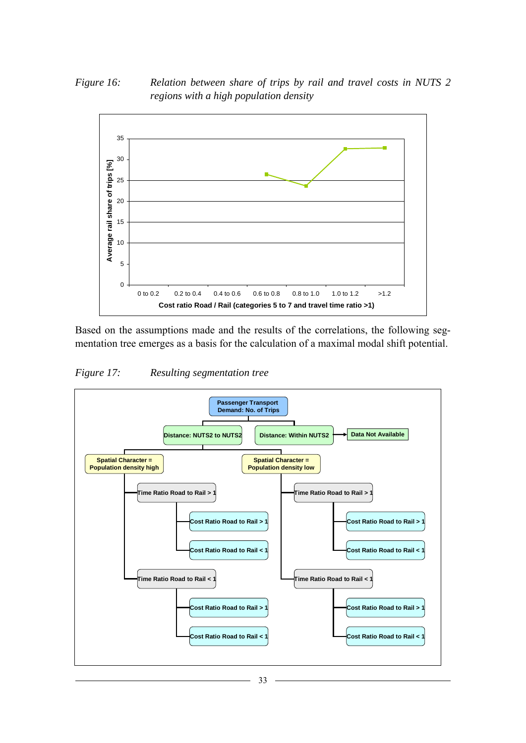<span id="page-32-0"></span>*Figure 16: Relation between share of trips by rail and travel costs in NUTS 2 regions with a high population density* 



Based on the assumptions made and the results of the correlations, the following segmentation tree emerges as a basis for the calculation of a maximal modal shift potential.

*Figure 17: Resulting segmentation tree* 

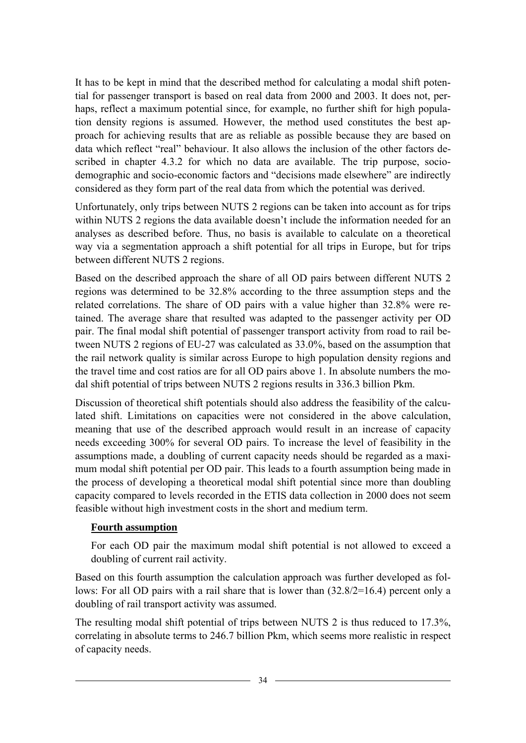It has to be kept in mind that the described method for calculating a modal shift potential for passenger transport is based on real data from 2000 and 2003. It does not, perhaps, reflect a maximum potential since, for example, no further shift for high population density regions is assumed. However, the method used constitutes the best approach for achieving results that are as reliable as possible because they are based on data which reflect "real" behaviour. It also allows the inclusion of the other factors described in chapter [4.3.2](#page-16-0) for which no data are available. The trip purpose, sociodemographic and socio-economic factors and "decisions made elsewhere" are indirectly considered as they form part of the real data from which the potential was derived.

Unfortunately, only trips between NUTS 2 regions can be taken into account as for trips within NUTS 2 regions the data available doesn't include the information needed for an analyses as described before. Thus, no basis is available to calculate on a theoretical way via a segmentation approach a shift potential for all trips in Europe, but for trips between different NUTS 2 regions.

Based on the described approach the share of all OD pairs between different NUTS 2 regions was determined to be 32.8% according to the three assumption steps and the related correlations. The share of OD pairs with a value higher than 32.8% were retained. The average share that resulted was adapted to the passenger activity per OD pair. The final modal shift potential of passenger transport activity from road to rail between NUTS 2 regions of EU-27 was calculated as 33.0%, based on the assumption that the rail network quality is similar across Europe to high population density regions and the travel time and cost ratios are for all OD pairs above 1. In absolute numbers the modal shift potential of trips between NUTS 2 regions results in 336.3 billion Pkm.

Discussion of theoretical shift potentials should also address the feasibility of the calculated shift. Limitations on capacities were not considered in the above calculation, meaning that use of the described approach would result in an increase of capacity needs exceeding 300% for several OD pairs. To increase the level of feasibility in the assumptions made, a doubling of current capacity needs should be regarded as a maximum modal shift potential per OD pair. This leads to a fourth assumption being made in the process of developing a theoretical modal shift potential since more than doubling capacity compared to levels recorded in the ETIS data collection in 2000 does not seem feasible without high investment costs in the short and medium term.

#### **Fourth assumption**

For each OD pair the maximum modal shift potential is not allowed to exceed a doubling of current rail activity.

Based on this fourth assumption the calculation approach was further developed as follows: For all OD pairs with a rail share that is lower than  $(32.8/2=16.4)$  percent only a doubling of rail transport activity was assumed.

The resulting modal shift potential of trips between NUTS 2 is thus reduced to 17.3%, correlating in absolute terms to 246.7 billion Pkm, which seems more realistic in respect of capacity needs.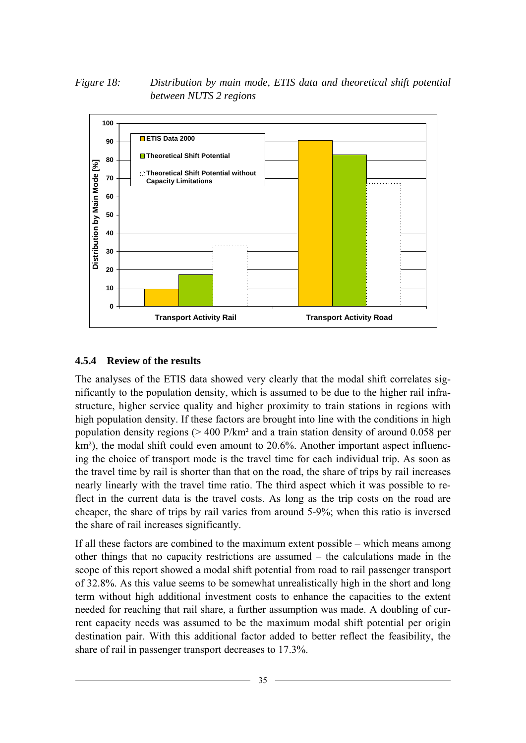<span id="page-34-0"></span>*Figure 18: Distribution by main mode, ETIS data and theoretical shift potential between NUTS 2 regions* 



#### **4.5.4 Review of the results**

The analyses of the ETIS data showed very clearly that the modal shift correlates significantly to the population density, which is assumed to be due to the higher rail infrastructure, higher service quality and higher proximity to train stations in regions with high population density. If these factors are brought into line with the conditions in high population density regions (> 400 P/km² and a train station density of around 0.058 per km²), the modal shift could even amount to 20.6%. Another important aspect influencing the choice of transport mode is the travel time for each individual trip. As soon as the travel time by rail is shorter than that on the road, the share of trips by rail increases nearly linearly with the travel time ratio. The third aspect which it was possible to reflect in the current data is the travel costs. As long as the trip costs on the road are cheaper, the share of trips by rail varies from around 5-9%; when this ratio is inversed the share of rail increases significantly.

If all these factors are combined to the maximum extent possible – which means among other things that no capacity restrictions are assumed – the calculations made in the scope of this report showed a modal shift potential from road to rail passenger transport of 32.8%. As this value seems to be somewhat unrealistically high in the short and long term without high additional investment costs to enhance the capacities to the extent needed for reaching that rail share, a further assumption was made. A doubling of current capacity needs was assumed to be the maximum modal shift potential per origin destination pair. With this additional factor added to better reflect the feasibility, the share of rail in passenger transport decreases to 17.3%.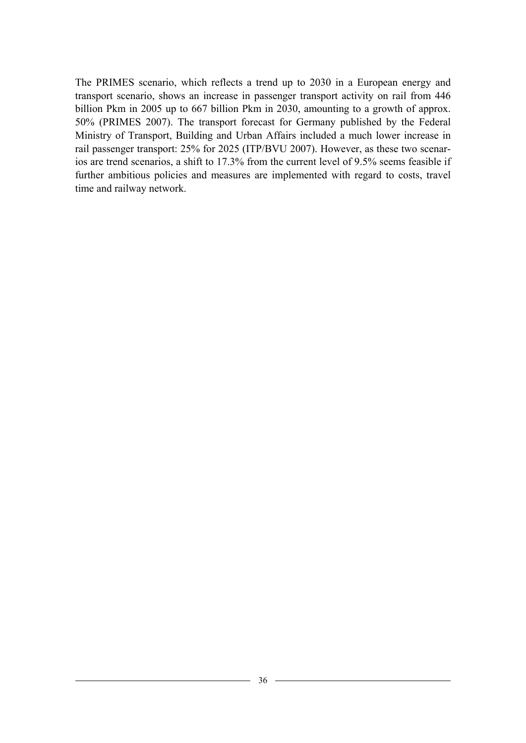The PRIMES scenario, which reflects a trend up to 2030 in a European energy and transport scenario, shows an increase in passenger transport activity on rail from 446 billion Pkm in 2005 up to 667 billion Pkm in 2030, amounting to a growth of approx. 50% (PRIMES 2007). The transport forecast for Germany published by the Federal Ministry of Transport, Building and Urban Affairs included a much lower increase in rail passenger transport: 25% for 2025 (ITP/BVU 2007). However, as these two scenarios are trend scenarios, a shift to 17.3% from the current level of 9.5% seems feasible if further ambitious policies and measures are implemented with regard to costs, travel time and railway network.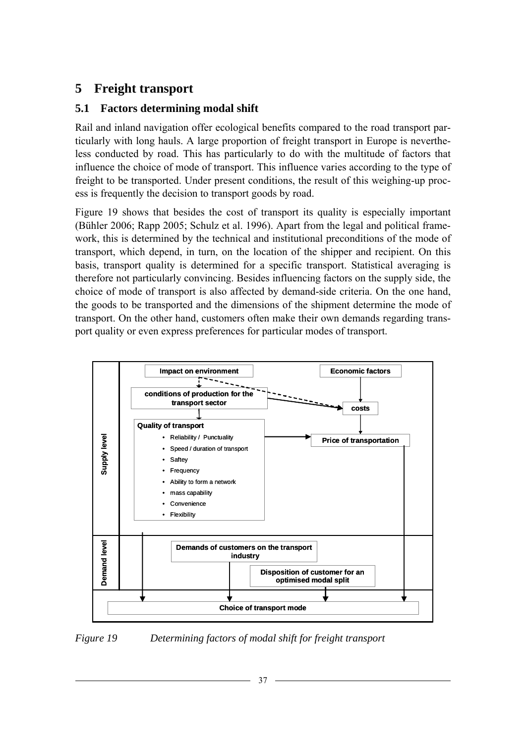### <span id="page-36-0"></span>**5 Freight transport**

### **5.1 Factors determining modal shift**

Rail and inland navigation offer ecological benefits compared to the road transport particularly with long hauls. A large proportion of freight transport in Europe is nevertheless conducted by road. This has particularly to do with the multitude of factors that influence the choice of mode of transport. This influence varies according to the type of freight to be transported. Under present conditions, the result of this weighing-up process is frequently the decision to transport goods by road.

[Figure 19](#page-36-0) shows that besides the cost of transport its quality is especially important (Bühler 2006; Rapp 2005; Schulz et al. 1996). Apart from the legal and political framework, this is determined by the technical and institutional preconditions of the mode of transport, which depend, in turn, on the location of the shipper and recipient. On this basis, transport quality is determined for a specific transport. Statistical averaging is therefore not particularly convincing. Besides influencing factors on the supply side, the choice of mode of transport is also affected by demand-side criteria. On the one hand, the goods to be transported and the dimensions of the shipment determine the mode of transport. On the other hand, customers often make their own demands regarding transport quality or even express preferences for particular modes of transport.



*Figure 19 Determining factors of modal shift for freight transport*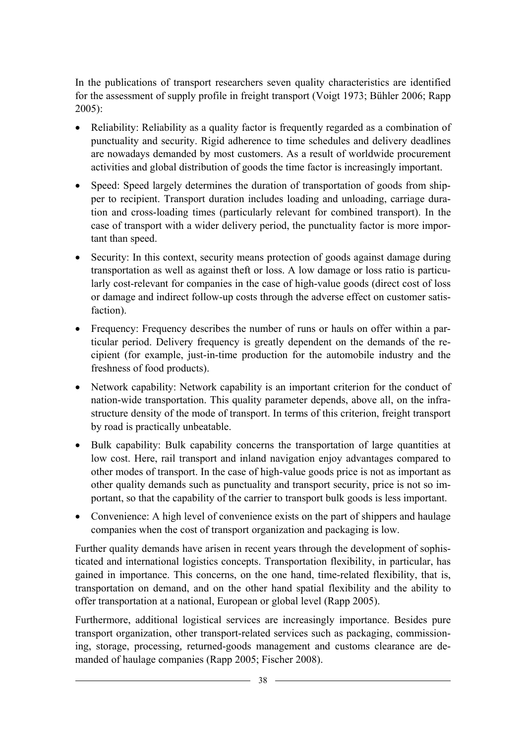In the publications of transport researchers seven quality characteristics are identified for the assessment of supply profile in freight transport (Voigt 1973; Bühler 2006; Rapp 2005):

- Reliability: Reliability as a quality factor is frequently regarded as a combination of punctuality and security. Rigid adherence to time schedules and delivery deadlines are nowadays demanded by most customers. As a result of worldwide procurement activities and global distribution of goods the time factor is increasingly important.
- Speed: Speed largely determines the duration of transportation of goods from shipper to recipient. Transport duration includes loading and unloading, carriage duration and cross-loading times (particularly relevant for combined transport). In the case of transport with a wider delivery period, the punctuality factor is more important than speed.
- Security: In this context, security means protection of goods against damage during transportation as well as against theft or loss. A low damage or loss ratio is particularly cost-relevant for companies in the case of high-value goods (direct cost of loss or damage and indirect follow-up costs through the adverse effect on customer satisfaction).
- Frequency: Frequency describes the number of runs or hauls on offer within a particular period. Delivery frequency is greatly dependent on the demands of the recipient (for example, just-in-time production for the automobile industry and the freshness of food products).
- Network capability: Network capability is an important criterion for the conduct of nation-wide transportation. This quality parameter depends, above all, on the infrastructure density of the mode of transport. In terms of this criterion, freight transport by road is practically unbeatable.
- Bulk capability: Bulk capability concerns the transportation of large quantities at low cost. Here, rail transport and inland navigation enjoy advantages compared to other modes of transport. In the case of high-value goods price is not as important as other quality demands such as punctuality and transport security, price is not so important, so that the capability of the carrier to transport bulk goods is less important.
- Convenience: A high level of convenience exists on the part of shippers and haulage companies when the cost of transport organization and packaging is low.

Further quality demands have arisen in recent years through the development of sophisticated and international logistics concepts. Transportation flexibility, in particular, has gained in importance. This concerns, on the one hand, time-related flexibility, that is, transportation on demand, and on the other hand spatial flexibility and the ability to offer transportation at a national, European or global level (Rapp 2005).

Furthermore, additional logistical services are increasingly importance. Besides pure transport organization, other transport-related services such as packaging, commissioning, storage, processing*,* returned-goods management and customs clearance are demanded of haulage companies (Rapp 2005; Fischer 2008).

 $\overline{\phantom{a}}$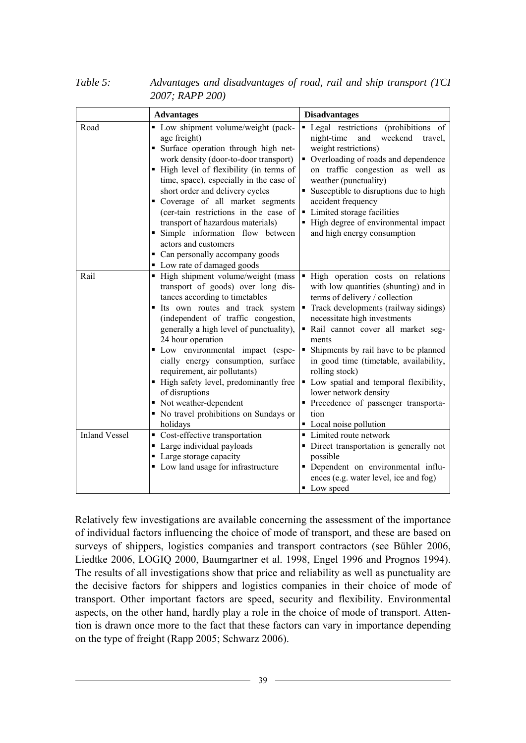<span id="page-38-0"></span>*Table 5: Advantages and disadvantages of road, rail and ship transport (TCI 2007; RAPP 200)* 

|                      | <b>Advantages</b>                                                                                                                                                                                                                                                                                                                                                                                                                                                                                                  | <b>Disadvantages</b>                                                                                                                                                                                                                                                                                                                                                                                                                                                               |
|----------------------|--------------------------------------------------------------------------------------------------------------------------------------------------------------------------------------------------------------------------------------------------------------------------------------------------------------------------------------------------------------------------------------------------------------------------------------------------------------------------------------------------------------------|------------------------------------------------------------------------------------------------------------------------------------------------------------------------------------------------------------------------------------------------------------------------------------------------------------------------------------------------------------------------------------------------------------------------------------------------------------------------------------|
| Road                 | • Low shipment volume/weight (pack-<br>age freight)<br>· Surface operation through high net-<br>work density (door-to-door transport)<br>• High level of flexibility (in terms of<br>time, space), especially in the case of<br>short order and delivery cycles<br>• Coverage of all market segments<br>(cer-tain restrictions in the case of<br>transport of hazardous materials)<br>· Simple information flow between<br>actors and customers<br>• Can personally accompany goods<br>• Low rate of damaged goods | • Legal restrictions (prohibitions of<br>night-time<br>and<br>weekend<br>travel,<br>weight restrictions)<br>Overloading of roads and dependence<br>on traffic congestion as well as<br>weather (punctuality)<br>• Susceptible to disruptions due to high<br>accident frequency<br>Limited storage facilities<br>• High degree of environmental impact<br>and high energy consumption                                                                                               |
| Rail                 | ■ High shipment volume/weight (mass<br>transport of goods) over long dis-<br>tances according to timetables<br>Its own routes and track system<br>(independent of traffic congestion,<br>generally a high level of punctuality),<br>24 hour operation<br>• Low environmental impact (espe-<br>cially energy consumption, surface<br>requirement, air pollutants)<br>· High safety level, predominantly free<br>of disruptions<br>• Not weather-dependent<br>• No travel prohibitions on Sundays or<br>holidays     | High operation costs on relations<br>with low quantities (shunting) and in<br>terms of delivery / collection<br>Track developments (railway sidings)<br>necessitate high investments<br>Rail cannot cover all market seg-<br>ments<br>Shipments by rail have to be planned<br>in good time (timetable, availability,<br>rolling stock)<br>Low spatial and temporal flexibility,<br>lower network density<br>Precedence of passenger transporta-<br>tion<br>• Local noise pollution |
| <b>Inland Vessel</b> | • Cost-effective transportation<br>• Large individual payloads<br>• Large storage capacity<br>• Low land usage for infrastructure                                                                                                                                                                                                                                                                                                                                                                                  | • Limited route network<br>• Direct transportation is generally not<br>possible<br>· Dependent on environmental influ-<br>ences (e.g. water level, ice and fog)<br>• Low speed                                                                                                                                                                                                                                                                                                     |

Relatively few investigations are available concerning the assessment of the importance of individual factors influencing the choice of mode of transport, and these are based on surveys of shippers, logistics companies and transport contractors (see Bühler 2006, Liedtke 2006, LOGIQ 2000, Baumgartner et al. 1998, Engel 1996 and Prognos 1994). The results of all investigations show that price and reliability as well as punctuality are the decisive factors for shippers and logistics companies in their choice of mode of transport. Other important factors are speed, security and flexibility. Environmental aspects, on the other hand, hardly play a role in the choice of mode of transport. Attention is drawn once more to the fact that these factors can vary in importance depending on the type of freight (Rapp 2005; Schwarz 2006).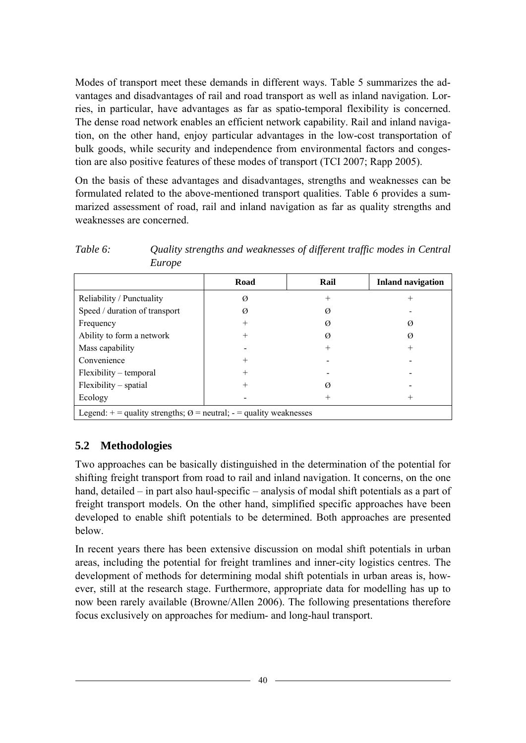<span id="page-39-0"></span>Modes of transport meet these demands in different ways. [Table 5](#page-38-0) summarizes the advantages and disadvantages of rail and road transport as well as inland navigation. Lorries, in particular, have advantages as far as spatio-temporal flexibility is concerned. The dense road network enables an efficient network capability. Rail and inland navigation, on the other hand, enjoy particular advantages in the low-cost transportation of bulk goods, while security and independence from environmental factors and congestion are also positive features of these modes of transport (TCI 2007; Rapp 2005).

On the basis of these advantages and disadvantages, strengths and weaknesses can be formulated related to the above-mentioned transport qualities. [Table 6](#page-39-0) provides a summarized assessment of road, rail and inland navigation as far as quality strengths and weaknesses are concerned.

|                                                                                  | Road   | Rail   | <b>Inland navigation</b> |  |
|----------------------------------------------------------------------------------|--------|--------|--------------------------|--|
| Reliability / Punctuality                                                        | Ø      | $^{+}$ | $^{+}$                   |  |
| Speed / duration of transport                                                    | Ø      | Ø      |                          |  |
| Frequency                                                                        | $^{+}$ | Ø      | Ø                        |  |
| Ability to form a network                                                        | $^{+}$ | Ø      | Ø                        |  |
| Mass capability                                                                  |        | $^+$   | $\hspace{0.1mm} +$       |  |
| Convenience                                                                      | $\pm$  |        |                          |  |
| Flexibility – temporal                                                           | $^{+}$ |        |                          |  |
| Flexibility – spatial                                                            | $^{+}$ | Ø      |                          |  |
| Ecology                                                                          |        | $^+$   | $^{+}$                   |  |
| Legend: $+$ = quality strengths; $\varnothing$ = neutral; - = quality weaknesses |        |        |                          |  |

*Table 6: Quality strengths and weaknesses of different traffic modes in Central Europe* 

### **5.2 Methodologies**

Two approaches can be basically distinguished in the determination of the potential for shifting freight transport from road to rail and inland navigation. It concerns, on the one hand, detailed – in part also haul-specific – analysis of modal shift potentials as a part of freight transport models. On the other hand, simplified specific approaches have been developed to enable shift potentials to be determined. Both approaches are presented below.

In recent years there has been extensive discussion on modal shift potentials in urban areas, including the potential for freight tramlines and inner-city logistics centres. The development of methods for determining modal shift potentials in urban areas is, however, still at the research stage. Furthermore, appropriate data for modelling has up to now been rarely available (Browne/Allen 2006). The following presentations therefore focus exclusively on approaches for medium- and long-haul transport.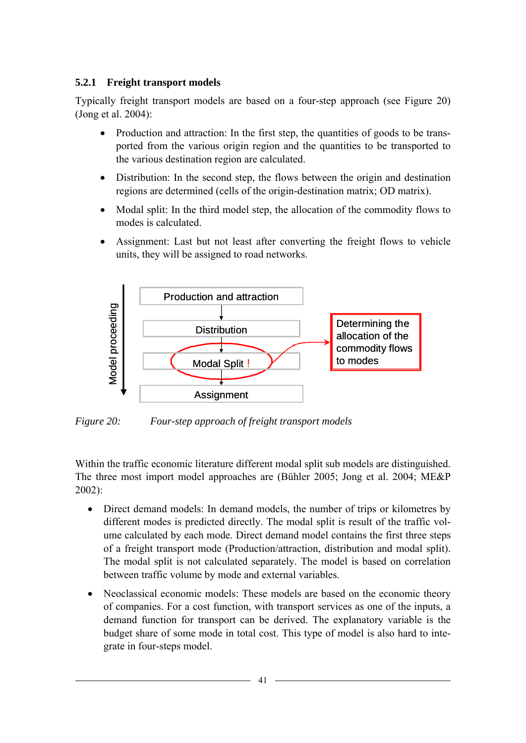#### <span id="page-40-0"></span>**5.2.1 Freight transport models**

Typically freight transport models are based on a four-step approach (see [Figure 20](#page-40-0)) (Jong et al. 2004):

- Production and attraction: In the first step, the quantities of goods to be transported from the various origin region and the quantities to be transported to the various destination region are calculated.
- Distribution: In the second step, the flows between the origin and destination regions are determined (cells of the origin-destination matrix; OD matrix).
- Modal split: In the third model step, the allocation of the commodity flows to modes is calculated.
- Assignment: Last but not least after converting the freight flows to vehicle units, they will be assigned to road networks.



*Figure 20: Four-step approach of freight transport models* 

Within the traffic economic literature different modal split sub models are distinguished. The three most import model approaches are (Bühler 2005; Jong et al. 2004; ME&P 2002):

- Direct demand models: In demand models, the number of trips or kilometres by different modes is predicted directly. The modal split is result of the traffic volume calculated by each mode. Direct demand model contains the first three steps of a freight transport mode (Production/attraction, distribution and modal split). The modal split is not calculated separately. The model is based on correlation between traffic volume by mode and external variables.
- Neoclassical economic models: These models are based on the economic theory of companies. For a cost function, with transport services as one of the inputs, a demand function for transport can be derived. The explanatory variable is the budget share of some mode in total cost. This type of model is also hard to integrate in four-steps model.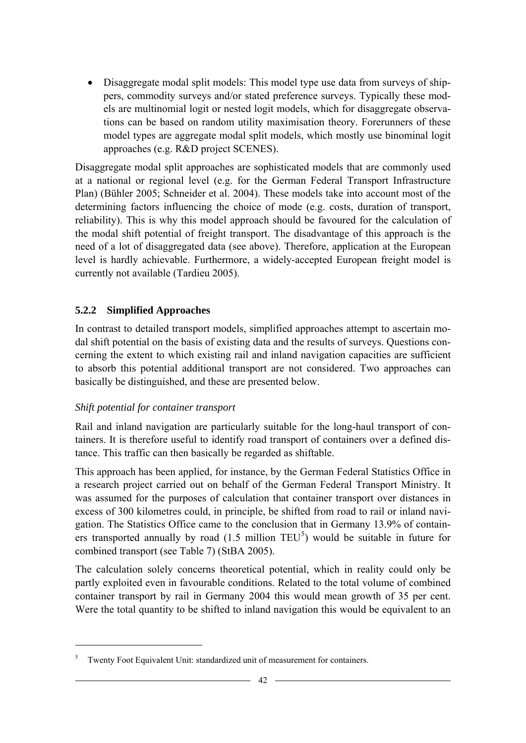<span id="page-41-0"></span>• Disaggregate modal split models: This model type use data from surveys of shippers, commodity surveys and/or stated preference surveys. Typically these models are multinomial logit or nested logit models, which for disaggregate observations can be based on random utility maximisation theory. Forerunners of these model types are aggregate modal split models, which mostly use binominal logit approaches (e.g. R&D project SCENES).

Disaggregate modal split approaches are sophisticated models that are commonly used at a national or regional level (e.g. for the German Federal Transport Infrastructure Plan) (Bühler 2005; Schneider et al. 2004). These models take into account most of the determining factors influencing the choice of mode (e.g. costs, duration of transport, reliability). This is why this model approach should be favoured for the calculation of the modal shift potential of freight transport. The disadvantage of this approach is the need of a lot of disaggregated data (see above). Therefore, application at the European level is hardly achievable. Furthermore, a widely-accepted European freight model is currently not available (Tardieu 2005).

#### **5.2.2 Simplified Approaches**

In contrast to detailed transport models, simplified approaches attempt to ascertain modal shift potential on the basis of existing data and the results of surveys. Questions concerning the extent to which existing rail and inland navigation capacities are sufficient to absorb this potential additional transport are not considered. Two approaches can basically be distinguished, and these are presented below.

#### *Shift potential for container transport*

1

Rail and inland navigation are particularly suitable for the long-haul transport of containers. It is therefore useful to identify road transport of containers over a defined distance. This traffic can then basically be regarded as shiftable.

This approach has been applied, for instance, by the German Federal Statistics Office in a research project carried out on behalf of the German Federal Transport Ministry. It was assumed for the purposes of calculation that container transport over distances in excess of 300 kilometres could, in principle, be shifted from road to rail or inland navigation. The Statistics Office came to the conclusion that in Germany 13.9% of containers transported annually by road  $(1.5 \text{ million} \text{TEU}^5)$  $(1.5 \text{ million} \text{TEU}^5)$  $(1.5 \text{ million} \text{TEU}^5)$  would be suitable in future for combined transport (see [Table 7\)](#page-42-0) (StBA 2005).

The calculation solely concerns theoretical potential, which in reality could only be partly exploited even in favourable conditions. Related to the total volume of combined container transport by rail in Germany 2004 this would mean growth of 35 per cent. Were the total quantity to be shifted to inland navigation this would be equivalent to an

<sup>5</sup> Twenty Foot Equivalent Unit: standardized unit of measurement for containers.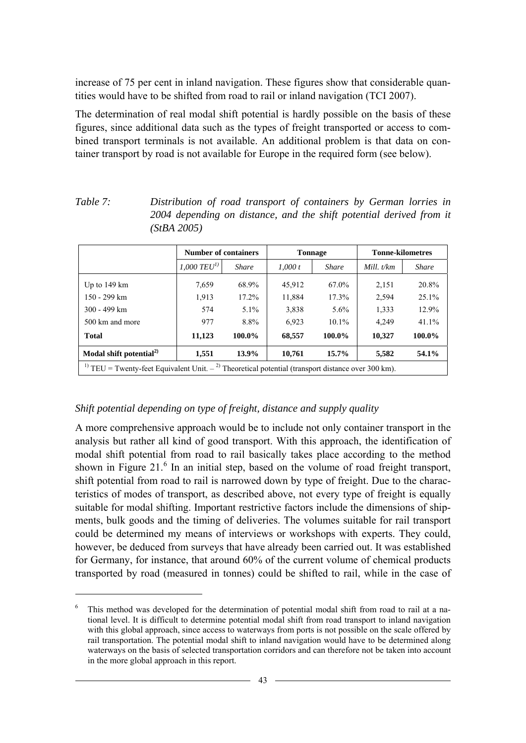<span id="page-42-0"></span>increase of 75 per cent in inland navigation. These figures show that considerable quantities would have to be shifted from road to rail or inland navigation (TCI 2007).

The determination of real modal shift potential is hardly possible on the basis of these figures, since additional data such as the types of freight transported or access to combined transport terminals is not available. An additional problem is that data on container transport by road is not available for Europe in the required form (see below).

| Table 7: | Distribution of road transport of containers by German lorries in   |
|----------|---------------------------------------------------------------------|
|          | 2004 depending on distance, and the shift potential derived from it |
|          | (StBA 2005)                                                         |

|                                                                                                                            | <b>Number of containers</b>              |              |         | <b>Tonnage</b> | <b>Tonne-kilometres</b> |              |  |  |  |  |
|----------------------------------------------------------------------------------------------------------------------------|------------------------------------------|--------------|---------|----------------|-------------------------|--------------|--|--|--|--|
|                                                                                                                            | $1,000$ $TEU$ <sup><math>1)</math></sup> | <b>Share</b> | 1.000~t | <b>Share</b>   | Mill. t/km              | <b>Share</b> |  |  |  |  |
| Up to $149 \text{ km}$                                                                                                     | 7,659                                    | 68.9%        | 45,912  | 67.0%          | 2,151                   | 20.8%        |  |  |  |  |
| $150 - 299$ km                                                                                                             | 1,913                                    | 17.2%        | 11,884  | 17.3%          | 2,594                   | 25.1%        |  |  |  |  |
| $300 - 499$ km                                                                                                             | 574                                      | 5.1%         | 3,838   | $5.6\%$        | 1,333                   | 12.9%        |  |  |  |  |
| 500 km and more                                                                                                            | 977                                      | 8.8%         | 6,923   | $10.1\%$       | 4,249                   | 41.1%        |  |  |  |  |
| <b>Total</b>                                                                                                               | 11,123                                   | 100.0%       | 68,557  | 100.0%         | 10,327                  | 100.0%       |  |  |  |  |
| Modal shift potential <sup>2)</sup>                                                                                        | 1,551                                    | 13.9%        | 10,761  | $15.7\%$       | 5,582                   | 54.1%        |  |  |  |  |
| <sup>1)</sup> TEU = Twenty-feet Equivalent Unit. $-$ <sup>2)</sup> Theoretical potential (transport distance over 300 km). |                                          |              |         |                |                         |              |  |  |  |  |

#### *Shift potential depending on type of freight, distance and supply quality*

<u>.</u>

A more comprehensive approach would be to include not only container transport in the analysis but rather all kind of good transport. With this approach, the identification of modal shift potential from road to rail basically takes place according to the method shown in Figure  $21<sup>6</sup>$  $21<sup>6</sup>$  $21<sup>6</sup>$  In an initial step, based on the volume of road freight transport, shift potential from road to rail is narrowed down by type of freight. Due to the characteristics of modes of transport, as described above, not every type of freight is equally suitable for modal shifting. Important restrictive factors include the dimensions of shipments, bulk goods and the timing of deliveries. The volumes suitable for rail transport could be determined my means of interviews or workshops with experts. They could, however, be deduced from surveys that have already been carried out. It was established for Germany, for instance, that around 60% of the current volume of chemical products transported by road (measured in tonnes) could be shifted to rail, while in the case of

<sup>6</sup> This method was developed for the determination of potential modal shift from road to rail at a national level. It is difficult to determine potential modal shift from road transport to inland navigation with this global approach, since access to waterways from ports is not possible on the scale offered by rail transportation. The potential modal shift to inland navigation would have to be determined along waterways on the basis of selected transportation corridors and can therefore not be taken into account in the more global approach in this report.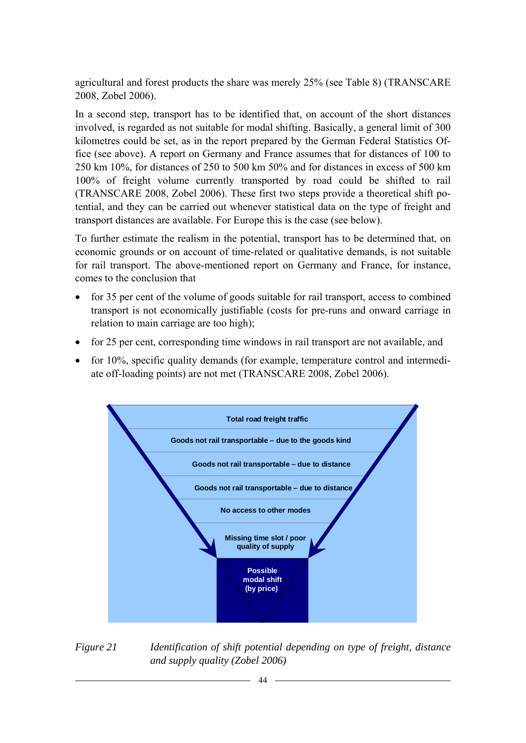<span id="page-43-0"></span>agricultural and forest products the share was merely 25% (see [Table 8\)](#page-44-0) (TRANSCARE 2008, Zobel 2006).

In a second step, transport has to be identified that, on account of the short distances involved, is regarded as not suitable for modal shifting. Basically, a general limit of 300 kilometres could be set, as in the report prepared by the German Federal Statistics Office (see above). A report on Germany and France assumes that for distances of 100 to 250 km 10%, for distances of 250 to 500 km 50% and for distances in excess of 500 km 100% of freight volume currently transported by road could be shifted to rail (TRANSCARE 2008, Zobel 2006). These first two steps provide a theoretical shift potential, and they can be carried out whenever statistical data on the type of freight and transport distances are available. For Europe this is the case (see below).

To further estimate the realism in the potential, transport has to be determined that, on economic grounds or on account of time-related or qualitative demands, is not suitable for rail transport. The above-mentioned report on Germany and France, for instance, comes to the conclusion that

- for 35 per cent of the volume of goods suitable for rail transport, access to combined transport is not economically justifiable (costs for pre-runs and onward carriage in relation to main carriage are too high);
- for 25 per cent, corresponding time windows in rail transport are not available, and
- for 10%, specific quality demands (for example, temperature control and intermediate off-loading points) are not met (TRANSCARE 2008, Zobel 2006).



*Figure 21 Identification of shift potential depending on type of freight, distance and supply quality (Zobel 2006)*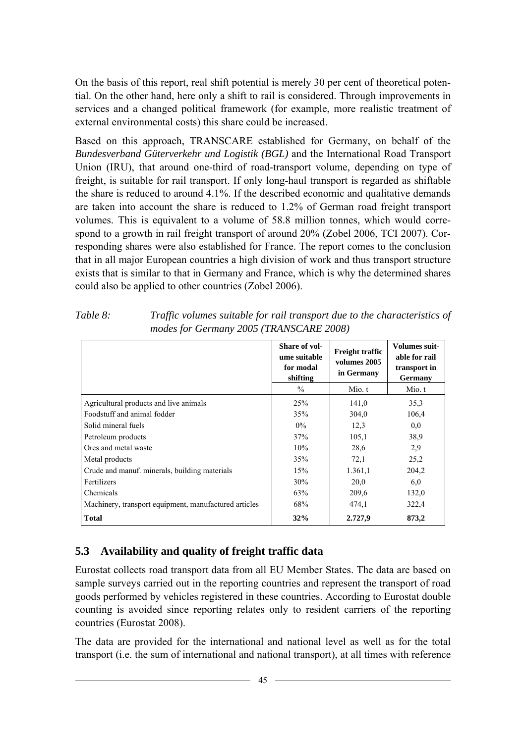<span id="page-44-0"></span>On the basis of this report, real shift potential is merely 30 per cent of theoretical potential. On the other hand, here only a shift to rail is considered. Through improvements in services and a changed political framework (for example, more realistic treatment of external environmental costs) this share could be increased.

Based on this approach, TRANSCARE established for Germany, on behalf of the *Bundesverband Güterverkehr und Logistik (BGL)* and the International Road Transport Union (IRU), that around one-third of road-transport volume, depending on type of freight, is suitable for rail transport. If only long-haul transport is regarded as shiftable the share is reduced to around 4.1%. If the described economic and qualitative demands are taken into account the share is reduced to 1.2% of German road freight transport volumes. This is equivalent to a volume of 58.8 million tonnes, which would correspond to a growth in rail freight transport of around 20% (Zobel 2006, TCI 2007). Corresponding shares were also established for France. The report comes to the conclusion that in all major European countries a high division of work and thus transport structure exists that is similar to that in Germany and France, which is why the determined shares could also be applied to other countries (Zobel 2006).

|                                                       | Share of vol-<br>ume suitable<br>for modal<br>shifting | <b>Freight traffic</b><br>volumes 2005<br>in Germany | <b>Volumes suit-</b><br>able for rail<br>transport in<br>Germany |  |
|-------------------------------------------------------|--------------------------------------------------------|------------------------------------------------------|------------------------------------------------------------------|--|
|                                                       | $\%$                                                   | Mio. t                                               | Mio. t                                                           |  |
| Agricultural products and live animals                | 25%                                                    | 141,0                                                | 35.3                                                             |  |
| Foodstuff and animal fodder                           | 35%                                                    | 304,0                                                | 106,4                                                            |  |
| Solid mineral fuels                                   | $0\%$                                                  | 12,3                                                 | 0.0                                                              |  |
| Petroleum products                                    | 37%                                                    | 105,1                                                | 38,9                                                             |  |
| Ores and metal waste                                  | 10%                                                    | 28,6                                                 | 2,9                                                              |  |
| Metal products                                        | 35%                                                    | 72,1                                                 | 25,2                                                             |  |
| Crude and manuf. minerals, building materials         | 15%                                                    | 1.361,1                                              | 204,2                                                            |  |
| Fertilizers                                           | 30%                                                    | 20,0                                                 | 6,0                                                              |  |
| Chemicals                                             | 63%                                                    | 209,6                                                | 132,0                                                            |  |
| Machinery, transport equipment, manufactured articles | 68%                                                    | 474,1                                                | 322,4                                                            |  |
| <b>Total</b>                                          | 32%                                                    | 2.727,9                                              | 873,2                                                            |  |

*Table 8: Traffic volumes suitable for rail transport due to the characteristics of modes for Germany 2005 (TRANSCARE 2008)* 

### **5.3 Availability and quality of freight traffic data**

Eurostat collects road transport data from all EU Member States. The data are based on sample surveys carried out in the reporting countries and represent the transport of road goods performed by vehicles registered in these countries. According to Eurostat double counting is avoided since reporting relates only to resident carriers of the reporting countries (Eurostat 2008).

The data are provided for the international and national level as well as for the total transport (i.e. the sum of international and national transport), at all times with reference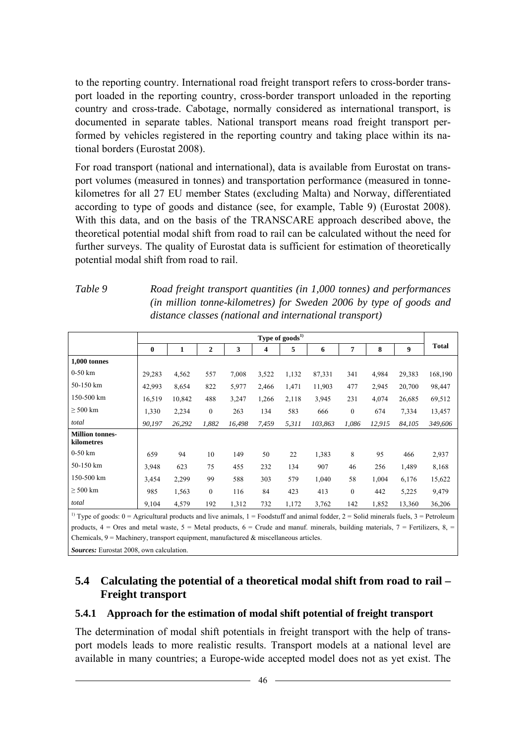<span id="page-45-0"></span>to the reporting country. International road freight transport refers to cross-border transport loaded in the reporting country, cross-border transport unloaded in the reporting country and cross-trade. Cabotage, normally considered as international transport, is documented in separate tables. National transport means road freight transport performed by vehicles registered in the reporting country and taking place within its national borders (Eurostat 2008).

For road transport (national and international), data is available from Eurostat on transport volumes (measured in tonnes) and transportation performance (measured in tonnekilometres for all 27 EU member States (excluding Malta) and Norway, differentiated according to type of goods and distance (see, for example, [Table 9](#page-45-0)) (Eurostat 2008). With this data, and on the basis of the TRANSCARE approach described above, the theoretical potential modal shift from road to rail can be calculated without the need for further surveys. The quality of Eurostat data is sufficient for estimation of theoretically potential modal shift from road to rail.

*Table 9 Road freight transport quantities (in 1,000 tonnes) and performances (in million tonne-kilometres) for Sweden 2006 by type of goods and distance classes (national and international transport)* 

|                                      | Type of goods <sup>1)</sup> |        |                |        |       |       |         |                  |        |        |         |
|--------------------------------------|-----------------------------|--------|----------------|--------|-------|-------|---------|------------------|--------|--------|---------|
|                                      | 0                           | 1      | $\overline{2}$ | 3      | 4     | 5     | 6       | 7                | 8      | 9      | Total   |
| 1,000 tonnes                         |                             |        |                |        |       |       |         |                  |        |        |         |
| $0-50$ km                            | 29,283                      | 4,562  | 557            | 7,008  | 3,522 | 1,132 | 87,331  | 341              | 4,984  | 29,383 | 168,190 |
| 50-150 km                            | 42,993                      | 8,654  | 822            | 5,977  | 2,466 | 1,471 | 11,903  | 477              | 2,945  | 20,700 | 98,447  |
| 150-500 km                           | 16,519                      | 10,842 | 488            | 3,247  | 1,266 | 2,118 | 3,945   | 231              | 4,074  | 26,685 | 69,512  |
| $> 500$ km                           | 1,330                       | 2,234  | $\mathbf{0}$   | 263    | 134   | 583   | 666     | 0                | 674    | 7,334  | 13,457  |
| total                                | 90,197                      | 26,292 | 1,882          | 16,498 | 7,459 | 5,311 | 103,863 | 1,086            | 12,915 | 84,105 | 349,606 |
| <b>Million tonnes-</b><br>kilometres |                             |        |                |        |       |       |         |                  |        |        |         |
| $0-50$ km                            | 659                         | 94     | 10             | 149    | 50    | 22    | 1,383   | 8                | 95     | 466    | 2,937   |
| 50-150 km                            | 3,948                       | 623    | 75             | 455    | 232   | 134   | 907     | 46               | 256    | 1,489  | 8,168   |
| 150-500 km                           | 3,454                       | 2,299  | 99             | 588    | 303   | 579   | 1,040   | 58               | 1,004  | 6,176  | 15,622  |
| $\geq$ 500 km                        | 985                         | 1,563  | $\mathbf{0}$   | 116    | 84    | 423   | 413     | $\boldsymbol{0}$ | 442    | 5,225  | 9,479   |
| total                                | 9,104                       | 4,579  | 192            | 1,312  | 732   | 1,172 | 3,762   | 142              | 1,852  | 13,360 | 36,206  |

<sup>1)</sup> Type of goods:  $0 =$  Agricultural products and live animals,  $1 =$  Foodstuff and animal fodder,  $2 =$  Solid minerals fuels,  $3 =$  Petroleum products,  $4 =$  Ores and metal waste,  $5 =$  Metal products,  $6 =$  Crude and manuf. minerals, building materials,  $7 =$  Fertilizers,  $8 =$ Chemicals,  $9 = \text{Machinerv}$ , transport equipment, manufactured & miscellaneous articles. *Sources:* Eurostat 2008, own calculation.

**5.4 Calculating the potential of a theoretical modal shift from road to rail –** 

# **Freight transport**

#### **5.4.1 Approach for the estimation of modal shift potential of freight transport**

The determination of modal shift potentials in freight transport with the help of transport models leads to more realistic results. Transport models at a national level are available in many countries; a Europe-wide accepted model does not as yet exist. The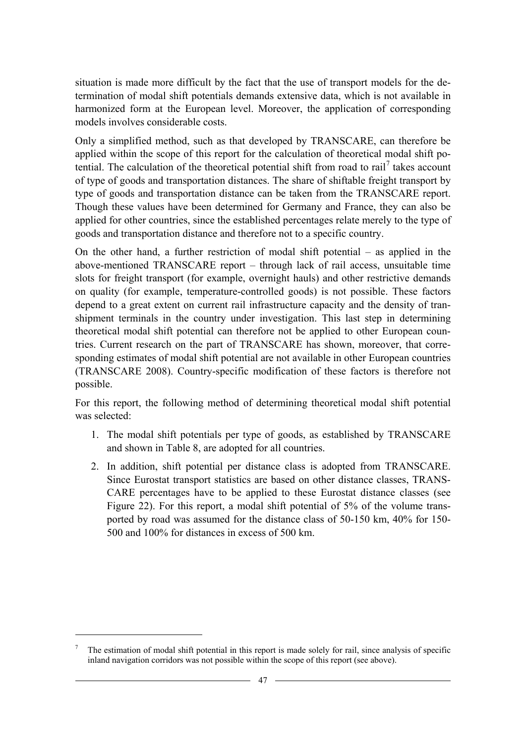<span id="page-46-0"></span>situation is made more difficult by the fact that the use of transport models for the determination of modal shift potentials demands extensive data, which is not available in harmonized form at the European level. Moreover, the application of corresponding models involves considerable costs.

Only a simplified method, such as that developed by TRANSCARE, can therefore be applied within the scope of this report for the calculation of theoretical modal shift po-tential. The calculation of the theoretical potential shift from road to rail<sup>[7](#page-46-0)</sup> takes account of type of goods and transportation distances. The share of shiftable freight transport by type of goods and transportation distance can be taken from the TRANSCARE report. Though these values have been determined for Germany and France, they can also be applied for other countries, since the established percentages relate merely to the type of goods and transportation distance and therefore not to a specific country.

On the other hand, a further restriction of modal shift potential – as applied in the above-mentioned TRANSCARE report – through lack of rail access, unsuitable time slots for freight transport (for example, overnight hauls) and other restrictive demands on quality (for example, temperature-controlled goods) is not possible. These factors depend to a great extent on current rail infrastructure capacity and the density of transhipment terminals in the country under investigation. This last step in determining theoretical modal shift potential can therefore not be applied to other European countries. Current research on the part of TRANSCARE has shown, moreover, that corresponding estimates of modal shift potential are not available in other European countries (TRANSCARE 2008). Country-specific modification of these factors is therefore not possible.

For this report, the following method of determining theoretical modal shift potential was selected:

- 1. The modal shift potentials per type of goods, as established by TRANSCARE and shown in [Table 8](#page-44-0), are adopted for all countries.
- 2. In addition, shift potential per distance class is adopted from TRANSCARE. Since Eurostat transport statistics are based on other distance classes, TRANS-CARE percentages have to be applied to these Eurostat distance classes (see [Figure 22\)](#page-47-0). For this report, a modal shift potential of 5% of the volume transported by road was assumed for the distance class of 50-150 km, 40% for 150- 500 and 100% for distances in excess of 500 km.

1

<sup>7</sup> The estimation of modal shift potential in this report is made solely for rail, since analysis of specific inland navigation corridors was not possible within the scope of this report (see above).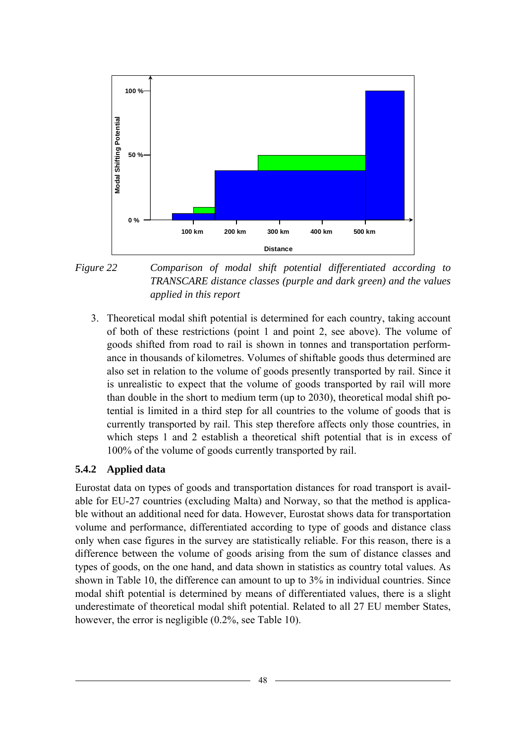<span id="page-47-0"></span>

*Figure 22 Comparison of modal shift potential differentiated according to TRANSCARE distance classes (purple and dark green) and the values applied in this report* 

3. Theoretical modal shift potential is determined for each country, taking account of both of these restrictions (point 1 and point 2, see above). The volume of goods shifted from road to rail is shown in tonnes and transportation performance in thousands of kilometres. Volumes of shiftable goods thus determined are also set in relation to the volume of goods presently transported by rail. Since it is unrealistic to expect that the volume of goods transported by rail will more than double in the short to medium term (up to 2030), theoretical modal shift potential is limited in a third step for all countries to the volume of goods that is currently transported by rail. This step therefore affects only those countries, in which steps 1 and 2 establish a theoretical shift potential that is in excess of 100% of the volume of goods currently transported by rail.

#### **5.4.2 Applied data**

Eurostat data on types of goods and transportation distances for road transport is available for EU-27 countries (excluding Malta) and Norway, so that the method is applicable without an additional need for data. However, Eurostat shows data for transportation volume and performance, differentiated according to type of goods and distance class only when case figures in the survey are statistically reliable. For this reason, there is a difference between the volume of goods arising from the sum of distance classes and types of goods, on the one hand, and data shown in statistics as country total values. As shown in [Table 10,](#page-48-0) the difference can amount to up to 3% in individual countries. Since modal shift potential is determined by means of differentiated values, there is a slight underestimate of theoretical modal shift potential. Related to all 27 EU member States, however, the error is negligible (0.2%, see [Table 10](#page-48-0)).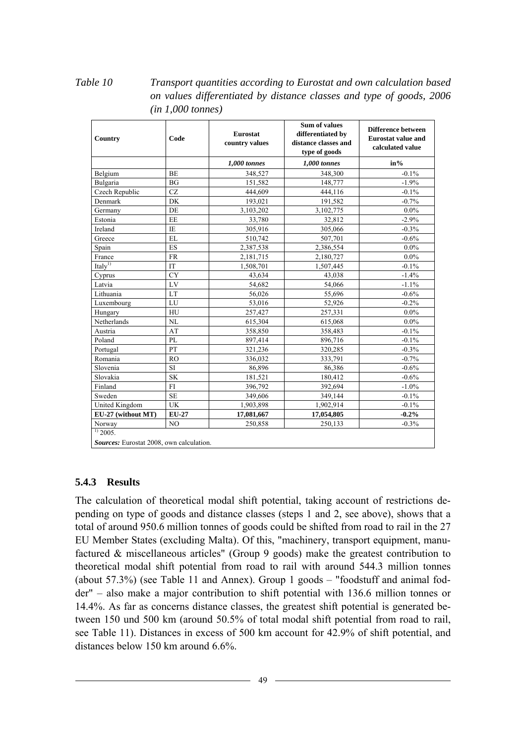<span id="page-48-0"></span>*Table 10 Transport quantities according to Eurostat and own calculation based on values differentiated by distance classes and type of goods, 2006 (in 1,000 tonnes)* 

| Country                                                                  | Code         |              | <b>Sum of values</b><br>differentiated by<br>distance classes and<br>type of goods | <b>Difference between</b><br><b>Eurostat value and</b><br>calculated value |  |  |
|--------------------------------------------------------------------------|--------------|--------------|------------------------------------------------------------------------------------|----------------------------------------------------------------------------|--|--|
|                                                                          |              | 1,000 tonnes | 1,000 tonnes                                                                       | in%                                                                        |  |  |
| Belgium                                                                  | <b>BE</b>    | 348,527      | 348,300                                                                            | $-0.1%$                                                                    |  |  |
| Bulgaria                                                                 | <b>BG</b>    | 151,582      | 148,777                                                                            | $-1.9%$                                                                    |  |  |
| Czech Republic                                                           | CZ           | 444,609      | 444,116                                                                            | $-0.1%$                                                                    |  |  |
| Denmark                                                                  | <b>DK</b>    | 193,021      | 191,582                                                                            | $-0.7%$                                                                    |  |  |
| Germany                                                                  | DE           | 3,103,202    | 3,102,775                                                                          | $0.0\%$                                                                    |  |  |
| Estonia                                                                  | EE           | 33,780       | 32,812                                                                             | $-2.9%$                                                                    |  |  |
| Ireland                                                                  | IE           | 305,916      | 305,066                                                                            | $-0.3%$                                                                    |  |  |
| Greece                                                                   | EL           | 510,742      | 507,701                                                                            | $-0.6%$                                                                    |  |  |
| Spain                                                                    | ES           | 2,387,538    | 2,386,554                                                                          | $0.0\%$                                                                    |  |  |
| France                                                                   | <b>FR</b>    | 2,181,715    | 2,180,727                                                                          | $0.0\%$                                                                    |  |  |
| Ital $v1$                                                                | IT           | 1,508,701    | 1,507,445                                                                          | $-0.1%$                                                                    |  |  |
| Cyprus                                                                   | <b>CY</b>    | 43,634       | 43,038                                                                             | $-1.4%$                                                                    |  |  |
| Latvia                                                                   | LV           | 54,682       | 54,066                                                                             | $-1.1%$                                                                    |  |  |
| Lithuania                                                                | LT           | 56,026       | 55,696                                                                             | $-0.6%$                                                                    |  |  |
| Luxembourg                                                               | LU           | 53,016       | 52,926                                                                             | $-0.2%$                                                                    |  |  |
| Hungary                                                                  | HU           | 257,427      | 257,331                                                                            | $0.0\%$                                                                    |  |  |
| Netherlands                                                              | NL           | 615,304      | 615,068                                                                            | $0.0\%$                                                                    |  |  |
| Austria                                                                  | AT           | 358,850      | 358,483                                                                            | $-0.1%$                                                                    |  |  |
| Poland                                                                   | PL           | 897,414      | 896,716                                                                            | $-0.1%$                                                                    |  |  |
| Portugal                                                                 | PT           | 321,236      | 320,285                                                                            | $-0.3%$                                                                    |  |  |
| Romania                                                                  | <b>RO</b>    | 336,032      | 333,791                                                                            | $-0.7%$                                                                    |  |  |
| Slovenia                                                                 | <b>SI</b>    | 86,896       | 86,386                                                                             | $-0.6%$                                                                    |  |  |
| Slovakia                                                                 | <b>SK</b>    | 181,521      | 180,412                                                                            | $-0.6%$                                                                    |  |  |
| Finland                                                                  | FI           | 396,792      | 392,694                                                                            | $-1.0%$                                                                    |  |  |
| Sweden                                                                   | <b>SE</b>    | 349,606      | 349,144                                                                            | $-0.1%$                                                                    |  |  |
| United Kingdom                                                           | <b>UK</b>    | 1,903,898    | 1,902,914                                                                          | $-0.1%$                                                                    |  |  |
| EU-27 (without MT)                                                       | <b>EU-27</b> | 17,081,667   | 17,054,805                                                                         | $-0.2%$                                                                    |  |  |
| Norway                                                                   | NO           | 250,858      | 250,133                                                                            | $-0.3%$                                                                    |  |  |
| $\overline{11}$ 2005.<br><b>Sources:</b> Eurostat 2008, own calculation. |              |              |                                                                                    |                                                                            |  |  |

#### **5.4.3 Results**

The calculation of theoretical modal shift potential, taking account of restrictions depending on type of goods and distance classes (steps 1 and 2, see above), shows that a total of around 950.6 million tonnes of goods could be shifted from road to rail in the 27 EU Member States (excluding Malta). Of this, "machinery, transport equipment, manufactured & miscellaneous articles" (Group 9 goods) make the greatest contribution to theoretical modal shift potential from road to rail with around 544.3 million tonnes (about 57.3%) (see [Table 11](#page-49-0) and Annex). Group 1 goods – "foodstuff and animal fodder" – also make a major contribution to shift potential with 136.6 million tonnes or 14.4%. As far as concerns distance classes, the greatest shift potential is generated between 150 und 500 km (around 50.5% of total modal shift potential from road to rail, see [Table 11](#page-49-0)). Distances in excess of 500 km account for 42.9% of shift potential, and distances below 150 km around 6.6%.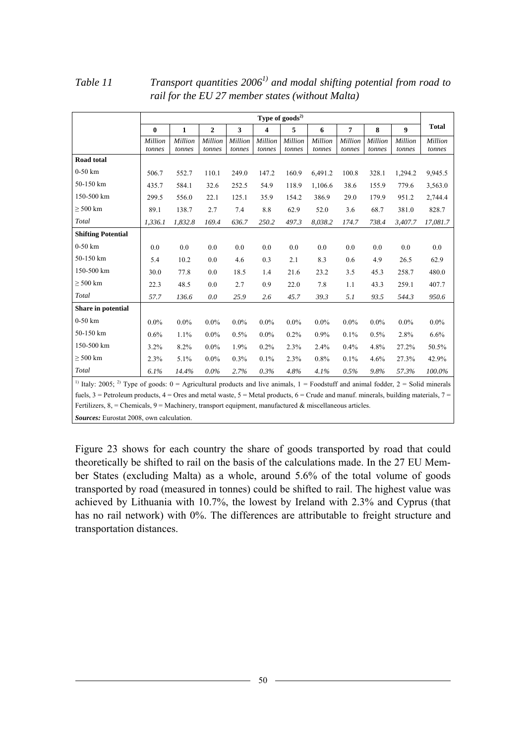|                                                                                                                                                           | Type of $\textbf{goods}^{\scriptscriptstyle{2)}$ |                   |                   |                   |                         |                   |                   |                   |                   |                   |                   |
|-----------------------------------------------------------------------------------------------------------------------------------------------------------|--------------------------------------------------|-------------------|-------------------|-------------------|-------------------------|-------------------|-------------------|-------------------|-------------------|-------------------|-------------------|
|                                                                                                                                                           | $\bf{0}$                                         | $\mathbf{1}$      | $\mathbf{2}$      | 3                 | $\overline{\mathbf{4}}$ | 5                 | 6                 | $\overline{7}$    | 8                 | $\boldsymbol{9}$  | <b>Total</b>      |
|                                                                                                                                                           | Million<br>tonnes                                | Million<br>tonnes | Million<br>tonnes | Million<br>tonnes | Million<br>tonnes       | Million<br>tonnes | Million<br>tonnes | Million<br>tonnes | Million<br>tonnes | Million<br>tonnes | Million<br>tonnes |
| <b>Road</b> total                                                                                                                                         |                                                  |                   |                   |                   |                         |                   |                   |                   |                   |                   |                   |
| $0-50$ km                                                                                                                                                 | 506.7                                            | 552.7             | 110.1             | 249.0             | 147.2                   | 160.9             | 6,491.2           | 100.8             | 328.1             | 1,294.2           | 9,945.5           |
| 50-150 km                                                                                                                                                 | 435.7                                            | 584.1             | 32.6              | 252.5             | 54.9                    | 118.9             | 1,106.6           | 38.6              | 155.9             | 779.6             | 3,563.0           |
| 150-500 km                                                                                                                                                | 299.5                                            | 556.0             | 22.1              | 125.1             | 35.9                    | 154.2             | 386.9             | 29.0              | 179.9             | 951.2             | 2,744.4           |
| $\geq$ 500 km                                                                                                                                             | 89.1                                             | 138.7             | 2.7               | 7.4               | 8.8                     | 62.9              | 52.0              | 3.6               | 68.7              | 381.0             | 828.7             |
| Total                                                                                                                                                     |                                                  | 1,832.8           | 169.4             |                   | 250.2                   |                   |                   |                   | 738.4             |                   | 17,081.7          |
|                                                                                                                                                           | 1,336.1                                          |                   |                   | 636.7             |                         | 497.3             | 8,038.2           | 174.7             |                   | 3,407.7           |                   |
| <b>Shifting Potential</b>                                                                                                                                 |                                                  |                   |                   |                   |                         |                   |                   |                   |                   |                   |                   |
| $0-50$ km                                                                                                                                                 | 0.0                                              | 0.0               | 0.0               | 0.0               | 0.0                     | 0.0               | 0.0               | 0.0               | 0.0               | 0.0               | 0.0               |
| 50-150 km                                                                                                                                                 | 5.4                                              | 10.2              | 0.0               | 4.6               | 0.3                     | 2.1               | 8.3               | 0.6               | 4.9               | 26.5              | 62.9              |
| 150-500 km                                                                                                                                                | 30.0                                             | 77.8              | 0.0               | 18.5              | 1.4                     | 21.6              | 23.2              | 3.5               | 45.3              | 258.7             | 480.0             |
| $\geq$ 500 km                                                                                                                                             | 22.3                                             | 48.5              | 0.0               | 2.7               | 0.9                     | 22.0              | 7.8               | 1.1               | 43.3              | 259.1             | 407.7             |
| Total                                                                                                                                                     | 57.7                                             | 136.6             | 0.0               | 25.9              | 2.6                     | 45.7              | 39.3              | 5.1               | 93.5              | 544.3             | 950.6             |
| Share in potential                                                                                                                                        |                                                  |                   |                   |                   |                         |                   |                   |                   |                   |                   |                   |
| $0-50$ km                                                                                                                                                 | $0.0\%$                                          | $0.0\%$           | $0.0\%$           | $0.0\%$           | $0.0\%$                 | $0.0\%$           | $0.0\%$           | $0.0\%$           | $0.0\%$           | $0.0\%$           | $0.0\%$           |
| 50-150 km                                                                                                                                                 | $0.6\%$                                          | 1.1%              | $0.0\%$           | 0.5%              | $0.0\%$                 | 0.2%              | 0.9%              | 0.1%              | 0.5%              | 2.8%              | 6.6%              |
| 150-500 km                                                                                                                                                | 3.2%                                             | 8.2%              | $0.0\%$           | 1.9%              | 0.2%                    | 2.3%              | 2.4%              | 0.4%              | 4.8%              | 27.2%             | 50.5%             |
| $\geq$ 500 km                                                                                                                                             | 2.3%                                             | 5.1%              | $0.0\%$           | 0.3%              | 0.1%                    | 2.3%              | 0.8%              | 0.1%              | 4.6%              | 27.3%             | 42.9%             |
| Total                                                                                                                                                     | 6.1%                                             | 14.4%             | $0.0\%$           | 2.7%              | 0.3%                    | 4.8%              | 4.1%              | 0.5%              | 9.8%              | 57.3%             | 100.0%            |
| <sup>1)</sup> Italy: 2005; <sup>2)</sup> Type of goods: $0 =$ Agricultural products and live animals, 1 = Foodstuff and animal fodder, 2 = Solid minerals |                                                  |                   |                   |                   |                         |                   |                   |                   |                   |                   |                   |
| fuels, $3$ = Petroleum products, $4$ = Ores and metal waste, $5$ = Metal products, $6$ = Crude and manuf. minerals, building materials, $7$ =             |                                                  |                   |                   |                   |                         |                   |                   |                   |                   |                   |                   |
| Fertilizers, 8, = Chemicals, 9 = Machinery, transport equipment, manufactured & miscellaneous articles.                                                   |                                                  |                   |                   |                   |                         |                   |                   |                   |                   |                   |                   |

### <span id="page-49-0"></span>*Table 11* Transport quantities 2006<sup>1</sup> and modal shifting potential from road to *rail for the EU 27 member states (without Malta)*

*Sources:* Eurostat 2008, own calculation.

[Figure 23](#page-50-0) shows for each country the share of goods transported by road that could theoretically be shifted to rail on the basis of the calculations made. In the 27 EU Member States (excluding Malta) as a whole, around 5.6% of the total volume of goods transported by road (measured in tonnes) could be shifted to rail. The highest value was achieved by Lithuania with 10.7%, the lowest by Ireland with 2.3% and Cyprus (that has no rail network) with 0%. The differences are attributable to freight structure and transportation distances.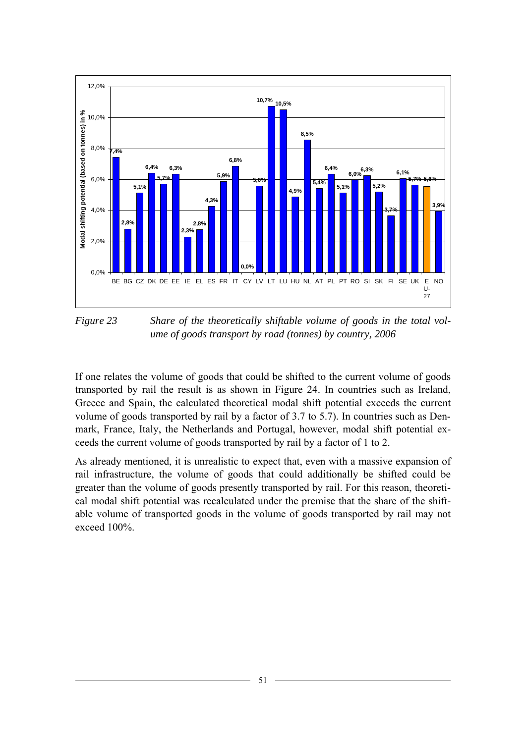<span id="page-50-0"></span>

*Figure 23 Share of the theoretically shiftable volume of goods in the total volume of goods transport by road (tonnes) by country, 2006* 

If one relates the volume of goods that could be shifted to the current volume of goods transported by rail the result is as shown in [Figure 24.](#page-51-0) In countries such as Ireland, Greece and Spain, the calculated theoretical modal shift potential exceeds the current volume of goods transported by rail by a factor of 3.7 to 5.7). In countries such as Denmark, France, Italy, the Netherlands and Portugal, however, modal shift potential exceeds the current volume of goods transported by rail by a factor of 1 to 2.

As already mentioned, it is unrealistic to expect that, even with a massive expansion of rail infrastructure, the volume of goods that could additionally be shifted could be greater than the volume of goods presently transported by rail. For this reason, theoretical modal shift potential was recalculated under the premise that the share of the shiftable volume of transported goods in the volume of goods transported by rail may not exceed 100%.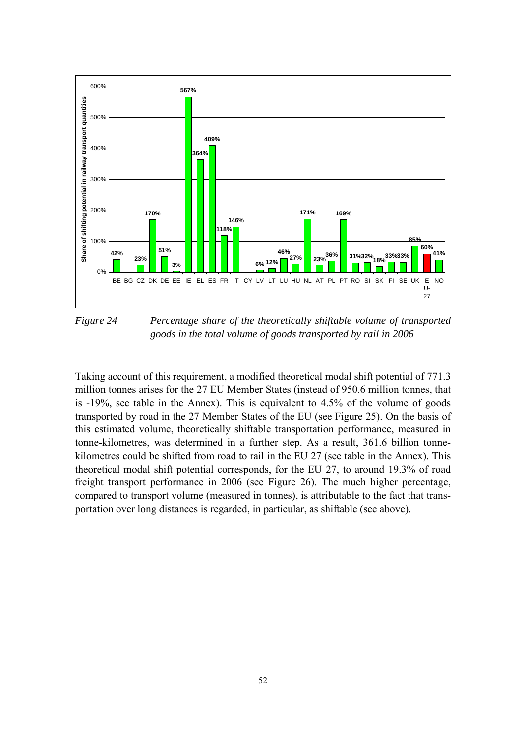<span id="page-51-0"></span>

*Figure 24 Percentage share of the theoretically shiftable volume of transported goods in the total volume of goods transported by rail in 2006* 

Taking account of this requirement, a modified theoretical modal shift potential of 771.3 million tonnes arises for the 27 EU Member States (instead of 950.6 million tonnes, that is -19%, see table in the Annex). This is equivalent to 4.5% of the volume of goods transported by road in the 27 Member States of the EU (see [Figure 25](#page-52-0)). On the basis of this estimated volume, theoretically shiftable transportation performance, measured in tonne-kilometres, was determined in a further step. As a result, 361.6 billion tonnekilometres could be shifted from road to rail in the EU 27 (see table in the Annex). This theoretical modal shift potential corresponds, for the EU 27, to around 19.3% of road freight transport performance in 2006 (see [Figure 26](#page-52-0)). The much higher percentage, compared to transport volume (measured in tonnes), is attributable to the fact that transportation over long distances is regarded, in particular, as shiftable (see above).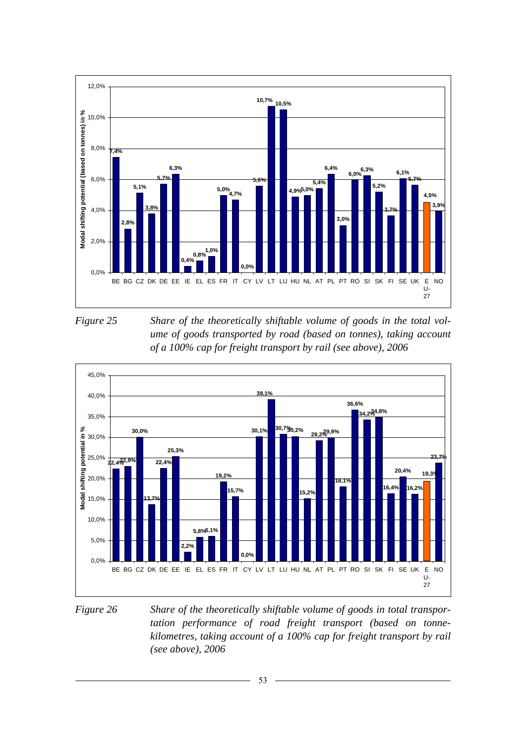<span id="page-52-0"></span>

*Figure 25 Share of the theoretically shiftable volume of goods in the total volume of goods transported by road (based on tonnes), taking account of a 100% cap for freight transport by rail (see above), 2006* 



*Figure 26 Share of the theoretically shiftable volume of goods in total transportation performance of road freight transport (based on tonnekilometres, taking account of a 100% cap for freight transport by rail (see above), 2006*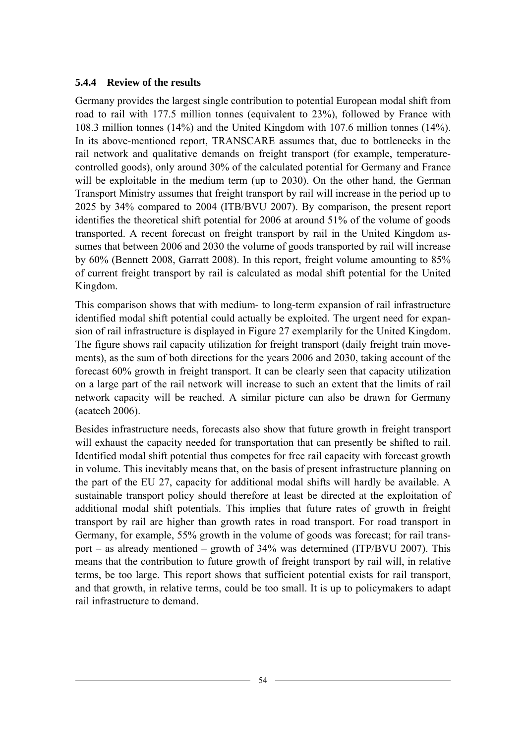#### <span id="page-53-0"></span>**5.4.4 Review of the results**

Germany provides the largest single contribution to potential European modal shift from road to rail with 177.5 million tonnes (equivalent to 23%), followed by France with 108.3 million tonnes (14%) and the United Kingdom with 107.6 million tonnes (14%). In its above-mentioned report, TRANSCARE assumes that, due to bottlenecks in the rail network and qualitative demands on freight transport (for example, temperaturecontrolled goods), only around 30% of the calculated potential for Germany and France will be exploitable in the medium term (up to 2030). On the other hand, the German Transport Ministry assumes that freight transport by rail will increase in the period up to 2025 by 34% compared to 2004 (ITB/BVU 2007). By comparison, the present report identifies the theoretical shift potential for 2006 at around 51% of the volume of goods transported. A recent forecast on freight transport by rail in the United Kingdom assumes that between 2006 and 2030 the volume of goods transported by rail will increase by 60% (Bennett 2008, Garratt 2008). In this report, freight volume amounting to 85% of current freight transport by rail is calculated as modal shift potential for the United Kingdom.

This comparison shows that with medium- to long-term expansion of rail infrastructure identified modal shift potential could actually be exploited. The urgent need for expansion of rail infrastructure is displayed in [Figure 27](#page-54-0) exemplarily for the United Kingdom. The figure shows rail capacity utilization for freight transport (daily freight train movements), as the sum of both directions for the years 2006 and 2030, taking account of the forecast 60% growth in freight transport. It can be clearly seen that capacity utilization on a large part of the rail network will increase to such an extent that the limits of rail network capacity will be reached. A similar picture can also be drawn for Germany (acatech 2006).

Besides infrastructure needs, forecasts also show that future growth in freight transport will exhaust the capacity needed for transportation that can presently be shifted to rail. Identified modal shift potential thus competes for free rail capacity with forecast growth in volume. This inevitably means that, on the basis of present infrastructure planning on the part of the EU 27, capacity for additional modal shifts will hardly be available. A sustainable transport policy should therefore at least be directed at the exploitation of additional modal shift potentials. This implies that future rates of growth in freight transport by rail are higher than growth rates in road transport. For road transport in Germany, for example, 55% growth in the volume of goods was forecast; for rail transport – as already mentioned – growth of 34% was determined (ITP/BVU 2007). This means that the contribution to future growth of freight transport by rail will, in relative terms, be too large. This report shows that sufficient potential exists for rail transport, and that growth, in relative terms, could be too small. It is up to policymakers to adapt rail infrastructure to demand.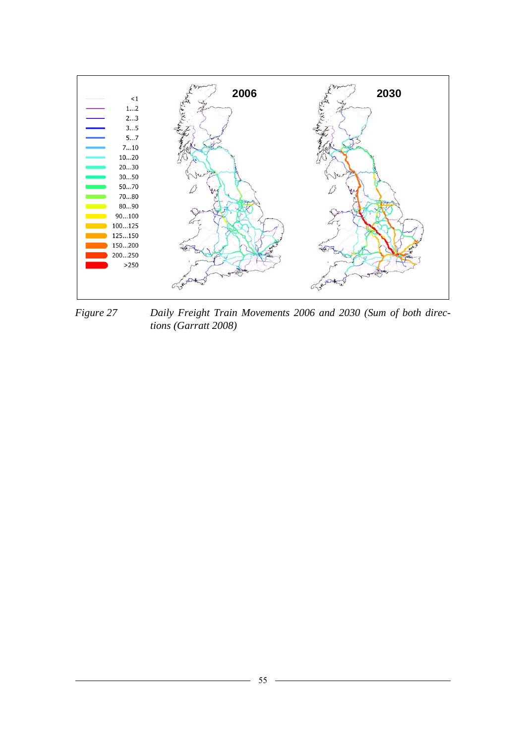<span id="page-54-0"></span>

*Figure 27 Daily Freight Train Movements 2006 and 2030 (Sum of both directions (Garratt 2008)*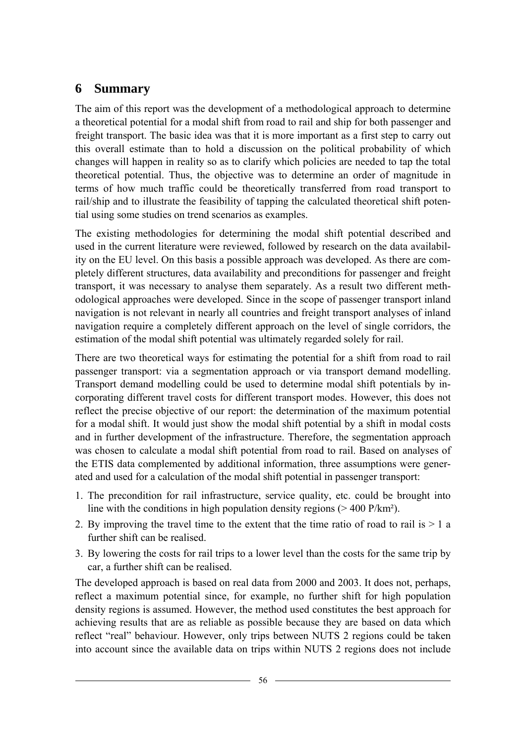### <span id="page-55-0"></span>**6 Summary**

The aim of this report was the development of a methodological approach to determine a theoretical potential for a modal shift from road to rail and ship for both passenger and freight transport. The basic idea was that it is more important as a first step to carry out this overall estimate than to hold a discussion on the political probability of which changes will happen in reality so as to clarify which policies are needed to tap the total theoretical potential. Thus, the objective was to determine an order of magnitude in terms of how much traffic could be theoretically transferred from road transport to rail/ship and to illustrate the feasibility of tapping the calculated theoretical shift potential using some studies on trend scenarios as examples.

The existing methodologies for determining the modal shift potential described and used in the current literature were reviewed, followed by research on the data availability on the EU level. On this basis a possible approach was developed. As there are completely different structures, data availability and preconditions for passenger and freight transport, it was necessary to analyse them separately. As a result two different methodological approaches were developed. Since in the scope of passenger transport inland navigation is not relevant in nearly all countries and freight transport analyses of inland navigation require a completely different approach on the level of single corridors, the estimation of the modal shift potential was ultimately regarded solely for rail.

There are two theoretical ways for estimating the potential for a shift from road to rail passenger transport: via a segmentation approach or via transport demand modelling. Transport demand modelling could be used to determine modal shift potentials by incorporating different travel costs for different transport modes. However, this does not reflect the precise objective of our report: the determination of the maximum potential for a modal shift. It would just show the modal shift potential by a shift in modal costs and in further development of the infrastructure. Therefore, the segmentation approach was chosen to calculate a modal shift potential from road to rail. Based on analyses of the ETIS data complemented by additional information, three assumptions were generated and used for a calculation of the modal shift potential in passenger transport:

- 1. The precondition for rail infrastructure, service quality, etc. could be brought into line with the conditions in high population density regions ( $> 400$  P/km<sup>2</sup>).
- 2. By improving the travel time to the extent that the time ratio of road to rail is  $> 1$  a further shift can be realised.
- 3. By lowering the costs for rail trips to a lower level than the costs for the same trip by car, a further shift can be realised.

The developed approach is based on real data from 2000 and 2003. It does not, perhaps, reflect a maximum potential since, for example, no further shift for high population density regions is assumed. However, the method used constitutes the best approach for achieving results that are as reliable as possible because they are based on data which reflect "real" behaviour. However, only trips between NUTS 2 regions could be taken into account since the available data on trips within NUTS 2 regions does not include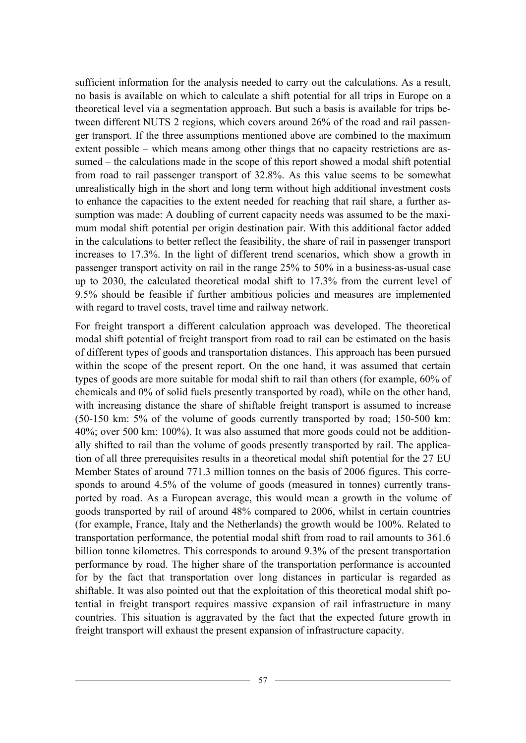sufficient information for the analysis needed to carry out the calculations. As a result, no basis is available on which to calculate a shift potential for all trips in Europe on a theoretical level via a segmentation approach. But such a basis is available for trips between different NUTS 2 regions, which covers around 26% of the road and rail passenger transport. If the three assumptions mentioned above are combined to the maximum extent possible – which means among other things that no capacity restrictions are assumed – the calculations made in the scope of this report showed a modal shift potential from road to rail passenger transport of 32.8%. As this value seems to be somewhat unrealistically high in the short and long term without high additional investment costs to enhance the capacities to the extent needed for reaching that rail share, a further assumption was made: A doubling of current capacity needs was assumed to be the maximum modal shift potential per origin destination pair. With this additional factor added in the calculations to better reflect the feasibility, the share of rail in passenger transport increases to 17.3%. In the light of different trend scenarios, which show a growth in passenger transport activity on rail in the range 25% to 50% in a business-as-usual case up to 2030, the calculated theoretical modal shift to 17.3% from the current level of 9.5% should be feasible if further ambitious policies and measures are implemented with regard to travel costs, travel time and railway network.

For freight transport a different calculation approach was developed. The theoretical modal shift potential of freight transport from road to rail can be estimated on the basis of different types of goods and transportation distances. This approach has been pursued within the scope of the present report. On the one hand, it was assumed that certain types of goods are more suitable for modal shift to rail than others (for example, 60% of chemicals and 0% of solid fuels presently transported by road), while on the other hand, with increasing distance the share of shiftable freight transport is assumed to increase (50-150 km: 5% of the volume of goods currently transported by road; 150-500 km: 40%; over 500 km: 100%). It was also assumed that more goods could not be additionally shifted to rail than the volume of goods presently transported by rail. The application of all three prerequisites results in a theoretical modal shift potential for the 27 EU Member States of around 771.3 million tonnes on the basis of 2006 figures. This corresponds to around 4.5% of the volume of goods (measured in tonnes) currently transported by road. As a European average, this would mean a growth in the volume of goods transported by rail of around 48% compared to 2006, whilst in certain countries (for example, France, Italy and the Netherlands) the growth would be 100%. Related to transportation performance, the potential modal shift from road to rail amounts to 361.6 billion tonne kilometres. This corresponds to around 9.3% of the present transportation performance by road. The higher share of the transportation performance is accounted for by the fact that transportation over long distances in particular is regarded as shiftable. It was also pointed out that the exploitation of this theoretical modal shift potential in freight transport requires massive expansion of rail infrastructure in many countries. This situation is aggravated by the fact that the expected future growth in freight transport will exhaust the present expansion of infrastructure capacity.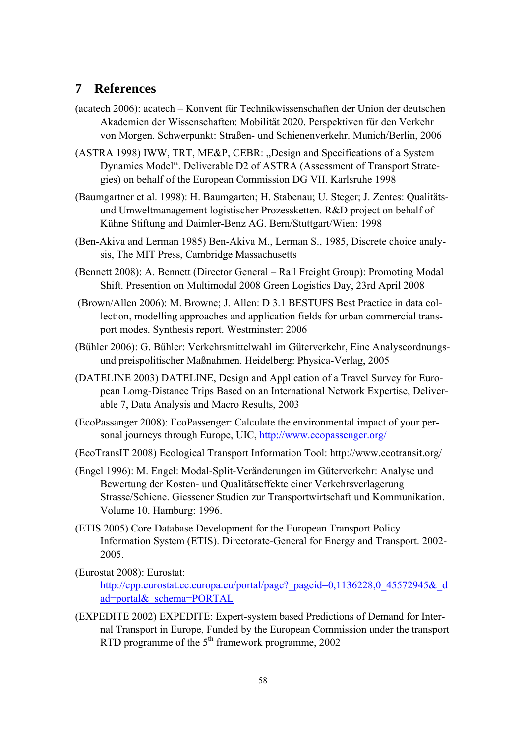## <span id="page-57-0"></span>**7 References**

- (acatech 2006): acatech Konvent für Technikwissenschaften der Union der deutschen Akademien der Wissenschaften: Mobilität 2020. Perspektiven für den Verkehr von Morgen. Schwerpunkt: Straßen- und Schienenverkehr. Munich/Berlin, 2006
- (ASTRA 1998) IWW, TRT, ME&P, CEBR: "Design and Specifications of a System Dynamics Model". Deliverable D2 of ASTRA (Assessment of Transport Strategies) on behalf of the European Commission DG VII. Karlsruhe 1998
- (Baumgartner et al. 1998): H. Baumgarten; H. Stabenau; U. Steger; J. Zentes: Qualitätsund Umweltmanagement logistischer Prozessketten. R&D project on behalf of Kühne Stiftung and Daimler-Benz AG. Bern/Stuttgart/Wien: 1998
- (Ben-Akiva and Lerman 1985) Ben-Akiva M., Lerman S., 1985, Discrete choice analysis, The MIT Press, Cambridge Massachusetts
- (Bennett 2008): A. Bennett (Director General Rail Freight Group): Promoting Modal Shift. Presention on Multimodal 2008 Green Logistics Day, 23rd April 2008
- (Brown/Allen 2006): M. Browne; J. Allen: D 3.1 BESTUFS Best Practice in data collection, modelling approaches and application fields for urban commercial transport modes. Synthesis report. Westminster: 2006
- (Bühler 2006): G. Bühler: Verkehrsmittelwahl im Güterverkehr, Eine Analyseordnungsund preispolitischer Maßnahmen. Heidelberg: Physica-Verlag, 2005
- (DATELINE 2003) DATELINE, Design and Application of a Travel Survey for European Lomg-Distance Trips Based on an International Network Expertise, Deliverable 7, Data Analysis and Macro Results, 2003
- (EcoPassanger 2008): EcoPassenger: Calculate the environmental impact of your personal journeys through Europe, UIC, <http://www.ecopassenger.org/>
- (EcoTransIT 2008) Ecological Transport Information Tool: http://www.ecotransit.org/
- (Engel 1996): M. Engel: Modal-Split-Veränderungen im Güterverkehr: Analyse und Bewertung der Kosten- und Qualitätseffekte einer Verkehrsverlagerung Strasse/Schiene. Giessener Studien zur Transportwirtschaft und Kommunikation. Volume 10. Hamburg: 1996.
- (ETIS 2005) Core Database Development for the European Transport Policy Information System (ETIS). Directorate-General for Energy and Transport. 2002- 2005.
- (Eurostat 2008): Eurostat: http://epp.eurostat.ec.europa.eu/portal/page? pageid=0,1136228,0\_45572945&\_d [ad=portal&\\_schema=PORTAL](http://epp.eurostat.ec.europa.eu/portal/page?_pageid=0,1136228,0_45572945&_dad=portal&_schema=PORTAL)
- (EXPEDITE 2002) EXPEDITE: Expert-system based Predictions of Demand for Internal Transport in Europe, Funded by the European Commission under the transport RTD programme of the  $5<sup>th</sup>$  framework programme, 2002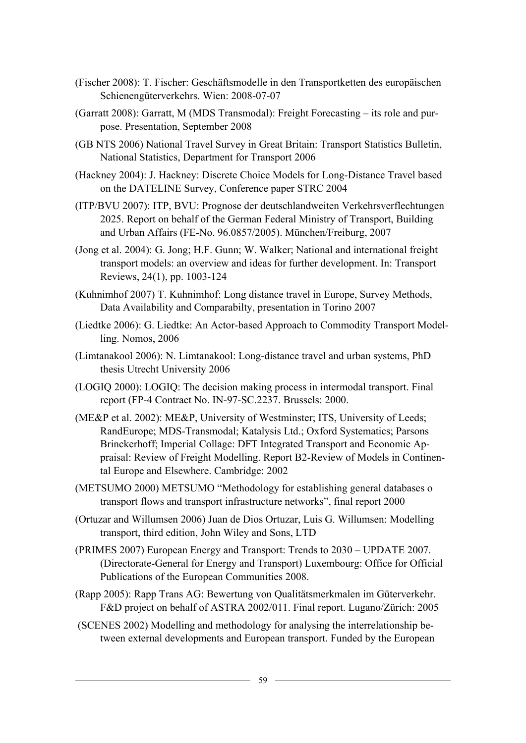- (Fischer 2008): T. Fischer: Geschäftsmodelle in den Transportketten des europäischen Schienengüterverkehrs. Wien: 2008-07-07
- (Garratt 2008): Garratt, M (MDS Transmodal): Freight Forecasting its role and purpose. Presentation, September 2008
- (GB NTS 2006) National Travel Survey in Great Britain: Transport Statistics Bulletin, National Statistics, Department for Transport 2006
- (Hackney 2004): J. Hackney: Discrete Choice Models for Long-Distance Travel based on the DATELINE Survey, Conference paper STRC 2004
- (ITP/BVU 2007): ITP, BVU: Prognose der deutschlandweiten Verkehrsverflechtungen 2025. Report on behalf of the German Federal Ministry of Transport, Building and Urban Affairs (FE-No. 96.0857/2005). München/Freiburg, 2007
- (Jong et al. 2004): G. Jong; H.F. Gunn; W. Walker; National and international freight transport models: an overview and ideas for further development. In: Transport Reviews, 24(1), pp. 1003-124
- (Kuhnimhof 2007) T. Kuhnimhof: Long distance travel in Europe, Survey Methods, Data Availability and Comparabilty, presentation in Torino 2007
- (Liedtke 2006): G. Liedtke: An Actor-based Approach to Commodity Transport Modelling. Nomos, 2006
- (Limtanakool 2006): N. Limtanakool: Long-distance travel and urban systems, PhD thesis Utrecht University 2006
- (LOGIQ 2000): LOGIQ: The decision making process in intermodal transport. Final report (FP-4 Contract No. IN-97-SC.2237. Brussels: 2000.
- (ME&P et al. 2002): ME&P, University of Westminster; ITS, University of Leeds; RandEurope; MDS-Transmodal; Katalysis Ltd.; Oxford Systematics; Parsons Brinckerhoff; Imperial Collage: DFT Integrated Transport and Economic Appraisal: Review of Freight Modelling. Report B2-Review of Models in Continental Europe and Elsewhere. Cambridge: 2002
- (METSUMO 2000) METSUMO "Methodology for establishing general databases o transport flows and transport infrastructure networks", final report 2000
- (Ortuzar and Willumsen 2006) Juan de Dios Ortuzar, Luis G. Willumsen: Modelling transport, third edition, John Wiley and Sons, LTD
- (PRIMES 2007) European Energy and Transport: Trends to 2030 UPDATE 2007. (Directorate-General for Energy and Transport) Luxembourg: Office for Official Publications of the European Communities 2008.
- (Rapp 2005): Rapp Trans AG: Bewertung von Qualitätsmerkmalen im Güterverkehr. F&D project on behalf of ASTRA 2002/011. Final report. Lugano/Zürich: 2005
- (SCENES 2002) Modelling and methodology for analysing the interrelationship between external developments and European transport. Funded by the European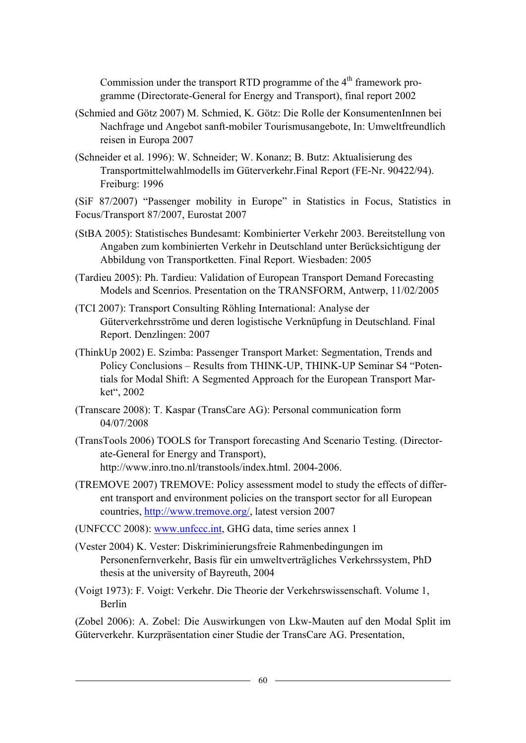Commission under the transport RTD programme of the  $4<sup>th</sup>$  framework programme (Directorate-General for Energy and Transport), final report 2002

- (Schmied and Götz 2007) M. Schmied, K. Götz: Die Rolle der KonsumentenInnen bei Nachfrage und Angebot sanft-mobiler Tourismusangebote, In: Umweltfreundlich reisen in Europa 2007
- (Schneider et al. 1996): W. Schneider; W. Konanz; B. Butz: Aktualisierung des Transportmittelwahlmodells im Güterverkehr.Final Report (FE-Nr. 90422/94). Freiburg: 1996

(SiF 87/2007) "Passenger mobility in Europe" in Statistics in Focus, Statistics in Focus/Transport 87/2007, Eurostat 2007

- (StBA 2005): Statistisches Bundesamt: Kombinierter Verkehr 2003. Bereitstellung von Angaben zum kombinierten Verkehr in Deutschland unter Berücksichtigung der Abbildung von Transportketten. Final Report. Wiesbaden: 2005
- (Tardieu 2005): Ph. Tardieu: Validation of European Transport Demand Forecasting Models and Scenrios. Presentation on the TRANSFORM, Antwerp, 11/02/2005
- (TCI 2007): Transport Consulting Röhling International: Analyse der Güterverkehrsströme und deren logistische Verknüpfung in Deutschland. Final Report. Denzlingen: 2007
- (ThinkUp 2002) E. Szimba: Passenger Transport Market: Segmentation, Trends and Policy Conclusions – Results from THINK-UP, THINK-UP Seminar S4 "Potentials for Modal Shift: A Segmented Approach for the European Transport Market", 2002
- (Transcare 2008): T. Kaspar (TransCare AG): Personal communication form 04/07/2008
- (TransTools 2006) TOOLS for Transport forecasting And Scenario Testing. (Directorate-General for Energy and Transport), http://www.inro.tno.nl/transtools/index.html. 2004-2006.
- (TREMOVE 2007) TREMOVE: Policy assessment model to study the effects of different transport and environment policies on the transport sector for all European countries, [http://www.tremove.org/,](http://www.tremove.org/) latest version 2007

(UNFCCC 2008): [www.unfccc.int](http://www.unfccc.int/), GHG data, time series annex 1

- (Vester 2004) K. Vester: Diskriminierungsfreie Rahmenbedingungen im Personenfernverkehr, Basis für ein umweltverträgliches Verkehrssystem, PhD thesis at the university of Bayreuth, 2004
- (Voigt 1973): F. Voigt: Verkehr. Die Theorie der Verkehrswissenschaft. Volume 1, Berlin

(Zobel 2006): A. Zobel: Die Auswirkungen von Lkw-Mauten auf den Modal Split im Güterverkehr. Kurzpräsentation einer Studie der TransCare AG. Presentation,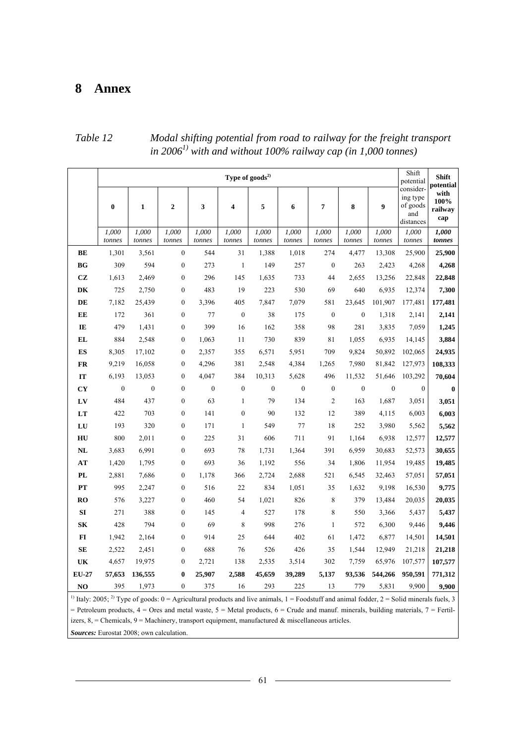### <span id="page-60-0"></span>**8 Annex**

|                | Type of $goods^2$    |                  |                  |                  |                         |                  |                  |                  |                  |                  |                                                                    | <b>Shift</b>                                |
|----------------|----------------------|------------------|------------------|------------------|-------------------------|------------------|------------------|------------------|------------------|------------------|--------------------------------------------------------------------|---------------------------------------------|
|                | $\bf{0}$             | $\mathbf{1}$     | $\mathbf{2}$     | 3                | $\overline{\mathbf{4}}$ | 5                | 6                | 7                | 8                | 9                | potential<br>consider-<br>ing type<br>of goods<br>and<br>distances | potential<br>with<br>100%<br>railway<br>cap |
|                | 1,000<br>tonnes      | 1,000<br>tonnes  | 1,000<br>tonnes  | 1,000<br>tonnes  | 1,000<br>tonnes         | 1,000<br>tonnes  | 1,000<br>tonnes  | 1,000<br>tonnes  | 1,000<br>tonnes  | 1,000<br>tonnes  | 1,000<br>tonnes                                                    | 1,000<br>tonnes                             |
| BE             | 1,301                | 3,561            | $\boldsymbol{0}$ | 544              | 31                      | 1,388            | 1,018            | 274              | 4,477            | 13,308           | 25,900                                                             | 25,900                                      |
| <b>BG</b>      | 309                  | 594              | $\boldsymbol{0}$ | 273              | $\mathbf{1}$            | 149              | 257              | $\boldsymbol{0}$ | 263              | 2,423            | 4,268                                                              | 4,268                                       |
| <b>CZ</b>      | 1,613                | 2,469            | $\boldsymbol{0}$ | 296              | 145                     | 1,635            | 733              | 44               | 2,655            | 13,256           | 22,848                                                             | 22,848                                      |
| DK             | 725                  | 2,750            | $\boldsymbol{0}$ | 483              | 19                      | 223              | 530              | 69               | 640              | 6,935            | 12,374                                                             | 7,300                                       |
| DE             | 7,182                | 25,439           | $\boldsymbol{0}$ | 3,396            | 405                     | 7,847            | 7,079            | 581              | 23,645           | 101,907          | 177,481                                                            | 177,481                                     |
| EE             | 172                  | 361              | $\boldsymbol{0}$ | 77               | $\boldsymbol{0}$        | 38               | 175              | $\boldsymbol{0}$ | $\boldsymbol{0}$ | 1,318            | 2,141                                                              | 2,141                                       |
| IE             | 479                  | 1,431            | $\boldsymbol{0}$ | 399              | 16                      | 162              | 358              | 98               | 281              | 3,835            | 7,059                                                              | 1,245                                       |
| EL             | 884                  | 2,548            | $\boldsymbol{0}$ | 1,063            | 11                      | 730              | 839              | 81               | 1,055            | 6,935            | 14,145                                                             | 3,884                                       |
| ES             | 8,305                | 17,102           | $\boldsymbol{0}$ | 2,357            | 355                     | 6,571            | 5,951            | 709              | 9,824            | 50,892           | 102,065                                                            | 24,935                                      |
| FR             | 9,219                | 16,058           | $\boldsymbol{0}$ | 4,296            | 381                     | 2,548            | 4,384            | 1,265            | 7,980            | 81,842           | 127,973                                                            | 108,333                                     |
| IT             | 6,193                | 13,053           | $\boldsymbol{0}$ | 4,047            | 384                     | 10,313           | 5,628            | 496              | 11,532           | 51,646           | 103,292                                                            | 70,604                                      |
| <b>CY</b>      | $\boldsymbol{0}$     | $\boldsymbol{0}$ | $\boldsymbol{0}$ | $\boldsymbol{0}$ | $\boldsymbol{0}$        | $\boldsymbol{0}$ | $\boldsymbol{0}$ | $\boldsymbol{0}$ | $\boldsymbol{0}$ | $\boldsymbol{0}$ | $\boldsymbol{0}$                                                   | $\bf{0}$                                    |
| LV             | 484                  | 437              | $\boldsymbol{0}$ | 63               | $\mathbf{1}$            | 79               | 134              | $\mathfrak{2}$   | 163              | 1,687            | 3,051                                                              | 3,051                                       |
| LT             | 422                  | 703              | $\boldsymbol{0}$ | 141              | $\mathbf{0}$            | 90               | 132              | 12               | 389              | 4,115            | 6,003                                                              | 6,003                                       |
| LU             | 193                  | 320              | $\boldsymbol{0}$ | 171              | $\mathbf{1}$            | 549              | 77               | 18               | 252              | 3,980            | 5,562                                                              | 5,562                                       |
| HU             | 800                  | 2,011            | $\boldsymbol{0}$ | 225              | 31                      | 606              | 711              | 91               | 1,164            | 6,938            | 12,577                                                             | 12,577                                      |
| NL             | 3,683                | 6,991            | $\boldsymbol{0}$ | 693              | 78                      | 1,731            | 1,364            | 391              | 6,959            | 30,683           | 52,573                                                             | 30,655                                      |
| AT             | 1,420                | 1,795            | $\boldsymbol{0}$ | 693              | 36                      | 1,192            | 556              | 34               | 1,806            | 11,954           | 19,485                                                             | 19,485                                      |
| PL             | 2,881                | 7,686            | $\boldsymbol{0}$ | 1,178            | 366                     | 2,724            | 2,688            | 521              | 6,545            | 32,463           | 57,051                                                             | 57,051                                      |
| PT             | 995                  | 2,247            | $\boldsymbol{0}$ | 516              | 22                      | 834              | 1,051            | 35               | 1,632            | 9,198            | 16,530                                                             | 9,775                                       |
| RO             | 576                  | 3,227            | $\boldsymbol{0}$ | 460              | 54                      | 1,021            | 826              | $\,$ $\,$        | 379              | 13,484           | 20,035                                                             | 20,035                                      |
| SI             | 271                  | 388              | $\boldsymbol{0}$ | 145              | $\overline{4}$          | 527              | 178              | 8                | 550              | 3,366            | 5,437                                                              | 5,437                                       |
| S <sub>K</sub> | 428                  | 794              | $\boldsymbol{0}$ | 69               | 8                       | 998              | 276              | 1                | 572              | 6,300            | 9,446                                                              | 9,446                                       |
| $FI$           | 1,942                | 2,164            | $\boldsymbol{0}$ | 914              | 25                      | 644              | 402              | 61               | 1,472            | 6,877            | 14,501                                                             | 14,501                                      |
| <b>SE</b>      | 2,522                | 2,451            | $\boldsymbol{0}$ | 688              | 76                      | 526              | 426              | 35               | 1,544            | 12,949           | 21,218                                                             | 21,218                                      |
| UK             | 4,657                | 19,975           | $\boldsymbol{0}$ | 2,721            | 138                     | 2,535            | 3,514            | 302              | 7,759            | 65,976           | 107,577                                                            | 107,577                                     |
| EU-27          | 57,653               | 136,555          | $\bf{0}$         | 25,907           | 2,588                   | 45,659           | 39,289           | 5,137            | 93,536           | 544,266          | 950,591                                                            | 771,312                                     |
| NO             | 395<br>$\mathcal{L}$ | 1,973            | $\mathbf{0}$     | 375              | 16                      | 293              | 225              | 13               | 779              | 5,831            | 9,900                                                              | 9,900                                       |

#### *Table 12 Modal shifting potential from road to railway for the freight transport in 20061) with and without 100% railway cap (in 1,000 tonnes)*

<sup>1)</sup> Italy: 2005; <sup>2)</sup> Type of goods: 0 = Agricultural products and live animals, 1 = Foodstuff and animal fodder, 2 = Solid minerals fuels, 3 = Petroleum products,  $4 =$  Ores and metal waste,  $5 =$  Metal products,  $6 =$  Crude and manuf. minerals, building materials,  $7 =$  Fertilizers,  $8$ , = Chemicals,  $9$  = Machinery, transport equipment, manufactured  $\&$  miscellaneous articles.

*Sources:* Eurostat 2008; own calculation.